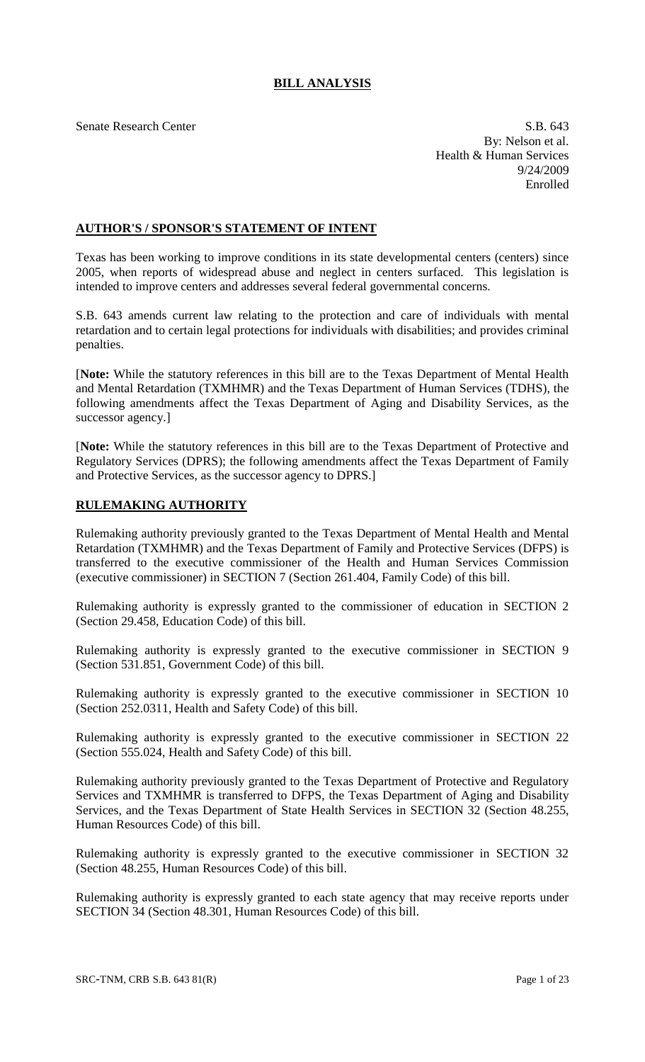# **BILL ANALYSIS**

Senate Research Center S.B. 643 By: Nelson et al. Health & Human Services 9/24/2009 Enrolled

# **AUTHOR'S / SPONSOR'S STATEMENT OF INTENT**

Texas has been working to improve conditions in its state developmental centers (centers) since 2005, when reports of widespread abuse and neglect in centers surfaced. This legislation is intended to improve centers and addresses several federal governmental concerns.

S.B. 643 amends current law relating to the protection and care of individuals with mental retardation and to certain legal protections for individuals with disabilities; and provides criminal penalties.

[**Note:** While the statutory references in this bill are to the Texas Department of Mental Health and Mental Retardation (TXMHMR) and the Texas Department of Human Services (TDHS), the following amendments affect the Texas Department of Aging and Disability Services, as the successor agency.]

[**Note:** While the statutory references in this bill are to the Texas Department of Protective and Regulatory Services (DPRS); the following amendments affect the Texas Department of Family and Protective Services, as the successor agency to DPRS.]

## **RULEMAKING AUTHORITY**

Rulemaking authority previously granted to the Texas Department of Mental Health and Mental Retardation (TXMHMR) and the Texas Department of Family and Protective Services (DFPS) is transferred to the executive commissioner of the Health and Human Services Commission (executive commissioner) in SECTION 7 (Section 261.404, Family Code) of this bill.

Rulemaking authority is expressly granted to the commissioner of education in SECTION 2 (Section 29.458, Education Code) of this bill.

Rulemaking authority is expressly granted to the executive commissioner in SECTION 9 (Section 531.851, Government Code) of this bill.

Rulemaking authority is expressly granted to the executive commissioner in SECTION 10 (Section 252.0311, Health and Safety Code) of this bill.

Rulemaking authority is expressly granted to the executive commissioner in SECTION 22 (Section 555.024, Health and Safety Code) of this bill.

Rulemaking authority previously granted to the Texas Department of Protective and Regulatory Services and TXMHMR is transferred to DFPS, the Texas Department of Aging and Disability Services, and the Texas Department of State Health Services in SECTION 32 (Section 48.255, Human Resources Code) of this bill.

Rulemaking authority is expressly granted to the executive commissioner in SECTION 32 (Section 48.255, Human Resources Code) of this bill.

Rulemaking authority is expressly granted to each state agency that may receive reports under SECTION 34 (Section 48.301, Human Resources Code) of this bill.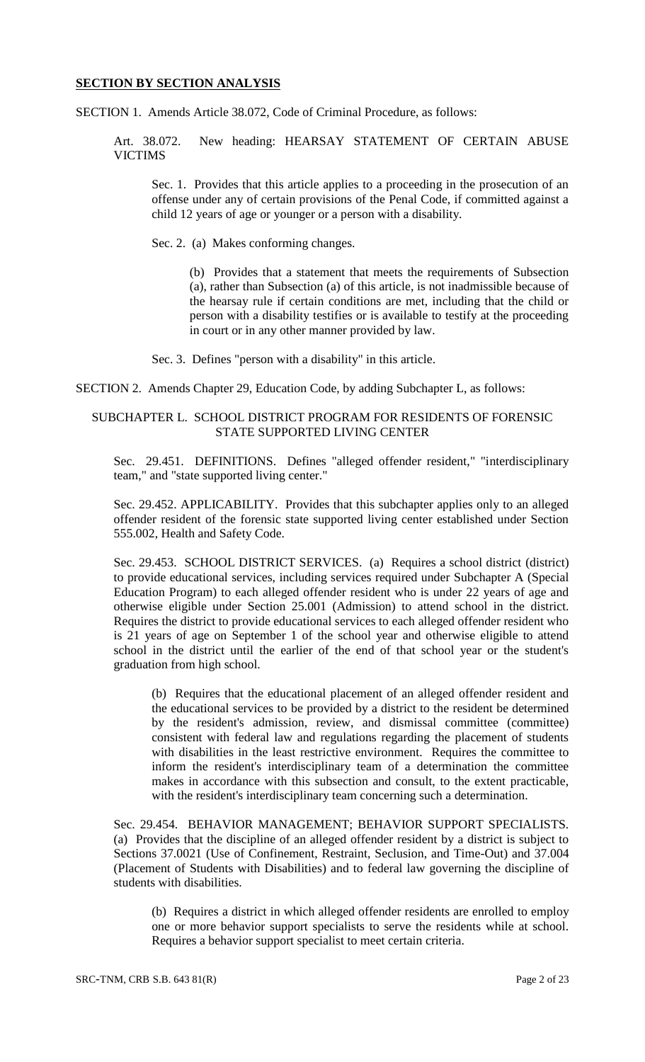#### **SECTION BY SECTION ANALYSIS**

SECTION 1. Amends Article 38.072, Code of Criminal Procedure, as follows:

Art. 38.072. New heading: HEARSAY STATEMENT OF CERTAIN ABUSE VICTIMS

Sec. 1. Provides that this article applies to a proceeding in the prosecution of an offense under any of certain provisions of the Penal Code, if committed against a child 12 years of age or younger or a person with a disability.

Sec. 2. (a) Makes conforming changes.

(b) Provides that a statement that meets the requirements of Subsection (a), rather than Subsection (a) of this article, is not inadmissible because of the hearsay rule if certain conditions are met, including that the child or person with a disability testifies or is available to testify at the proceeding in court or in any other manner provided by law.

Sec. 3. Defines "person with a disability" in this article.

SECTION 2. Amends Chapter 29, Education Code, by adding Subchapter L, as follows:

#### SUBCHAPTER L. SCHOOL DISTRICT PROGRAM FOR RESIDENTS OF FORENSIC STATE SUPPORTED LIVING CENTER

Sec. 29.451. DEFINITIONS. Defines "alleged offender resident," "interdisciplinary team," and "state supported living center."

Sec. 29.452. APPLICABILITY. Provides that this subchapter applies only to an alleged offender resident of the forensic state supported living center established under Section 555.002, Health and Safety Code.

Sec. 29.453. SCHOOL DISTRICT SERVICES. (a) Requires a school district (district) to provide educational services, including services required under Subchapter A (Special Education Program) to each alleged offender resident who is under 22 years of age and otherwise eligible under Section 25.001 (Admission) to attend school in the district. Requires the district to provide educational services to each alleged offender resident who is 21 years of age on September 1 of the school year and otherwise eligible to attend school in the district until the earlier of the end of that school year or the student's graduation from high school.

(b) Requires that the educational placement of an alleged offender resident and the educational services to be provided by a district to the resident be determined by the resident's admission, review, and dismissal committee (committee) consistent with federal law and regulations regarding the placement of students with disabilities in the least restrictive environment. Requires the committee to inform the resident's interdisciplinary team of a determination the committee makes in accordance with this subsection and consult, to the extent practicable, with the resident's interdisciplinary team concerning such a determination.

Sec. 29.454. BEHAVIOR MANAGEMENT; BEHAVIOR SUPPORT SPECIALISTS. (a) Provides that the discipline of an alleged offender resident by a district is subject to Sections 37.0021 (Use of Confinement, Restraint, Seclusion, and Time-Out) and 37.004 (Placement of Students with Disabilities) and to federal law governing the discipline of students with disabilities.

(b) Requires a district in which alleged offender residents are enrolled to employ one or more behavior support specialists to serve the residents while at school. Requires a behavior support specialist to meet certain criteria.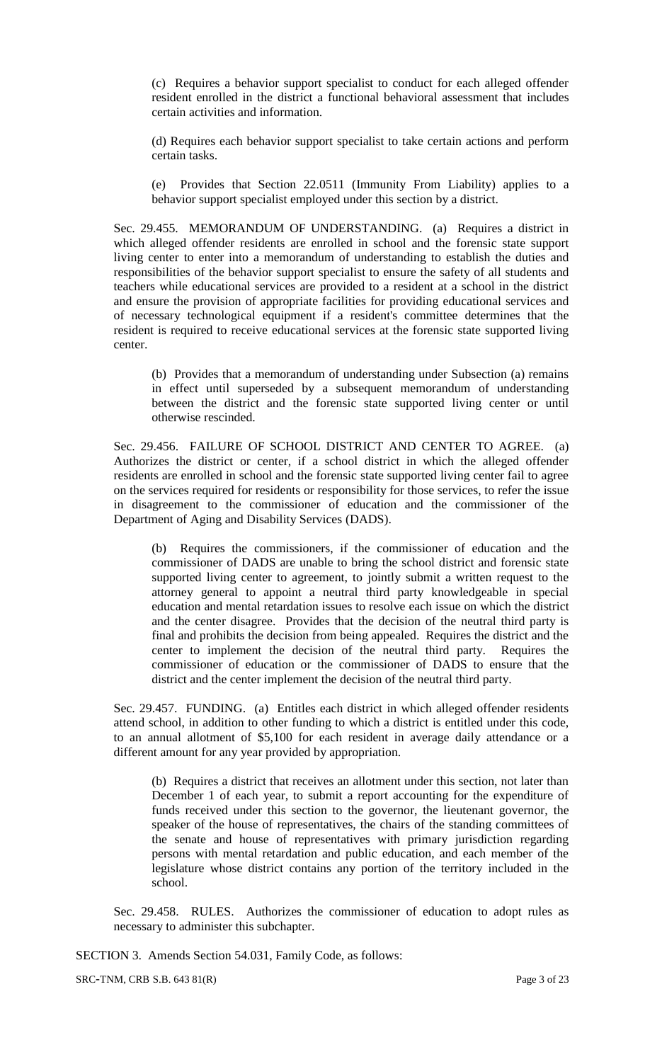(c) Requires a behavior support specialist to conduct for each alleged offender resident enrolled in the district a functional behavioral assessment that includes certain activities and information.

(d) Requires each behavior support specialist to take certain actions and perform certain tasks.

(e) Provides that Section 22.0511 (Immunity From Liability) applies to a behavior support specialist employed under this section by a district.

Sec. 29.455. MEMORANDUM OF UNDERSTANDING. (a) Requires a district in which alleged offender residents are enrolled in school and the forensic state support living center to enter into a memorandum of understanding to establish the duties and responsibilities of the behavior support specialist to ensure the safety of all students and teachers while educational services are provided to a resident at a school in the district and ensure the provision of appropriate facilities for providing educational services and of necessary technological equipment if a resident's committee determines that the resident is required to receive educational services at the forensic state supported living center.

(b) Provides that a memorandum of understanding under Subsection (a) remains in effect until superseded by a subsequent memorandum of understanding between the district and the forensic state supported living center or until otherwise rescinded.

Sec. 29.456. FAILURE OF SCHOOL DISTRICT AND CENTER TO AGREE. (a) Authorizes the district or center, if a school district in which the alleged offender residents are enrolled in school and the forensic state supported living center fail to agree on the services required for residents or responsibility for those services, to refer the issue in disagreement to the commissioner of education and the commissioner of the Department of Aging and Disability Services (DADS).

(b) Requires the commissioners, if the commissioner of education and the commissioner of DADS are unable to bring the school district and forensic state supported living center to agreement, to jointly submit a written request to the attorney general to appoint a neutral third party knowledgeable in special education and mental retardation issues to resolve each issue on which the district and the center disagree. Provides that the decision of the neutral third party is final and prohibits the decision from being appealed. Requires the district and the center to implement the decision of the neutral third party. Requires the commissioner of education or the commissioner of DADS to ensure that the district and the center implement the decision of the neutral third party.

Sec. 29.457. FUNDING. (a) Entitles each district in which alleged offender residents attend school, in addition to other funding to which a district is entitled under this code, to an annual allotment of \$5,100 for each resident in average daily attendance or a different amount for any year provided by appropriation.

(b) Requires a district that receives an allotment under this section, not later than December 1 of each year, to submit a report accounting for the expenditure of funds received under this section to the governor, the lieutenant governor, the speaker of the house of representatives, the chairs of the standing committees of the senate and house of representatives with primary jurisdiction regarding persons with mental retardation and public education, and each member of the legislature whose district contains any portion of the territory included in the school.

Sec. 29.458. RULES. Authorizes the commissioner of education to adopt rules as necessary to administer this subchapter.

SECTION 3. Amends Section 54.031, Family Code, as follows:

SRC-TNM, CRB S.B. 643 81(R) Page 3 of 23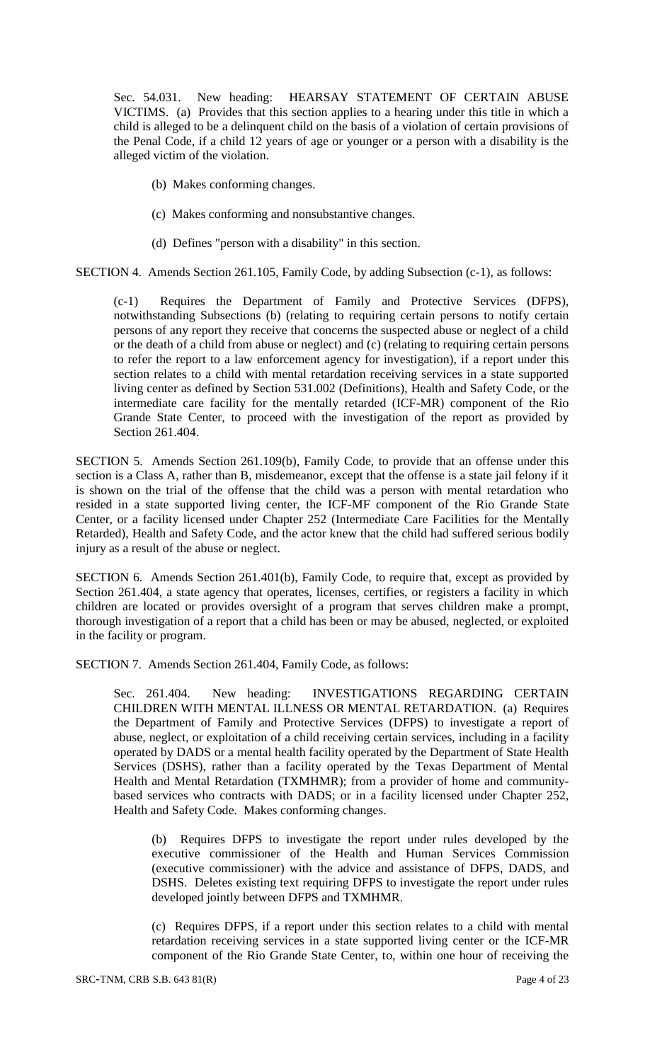Sec. 54.031. New heading: HEARSAY STATEMENT OF CERTAIN ABUSE VICTIMS. (a) Provides that this section applies to a hearing under this title in which a child is alleged to be a delinquent child on the basis of a violation of certain provisions of the Penal Code, if a child 12 years of age or younger or a person with a disability is the alleged victim of the violation.

- (b) Makes conforming changes.
- (c) Makes conforming and nonsubstantive changes.
- (d) Defines "person with a disability" in this section.

SECTION 4. Amends Section 261.105, Family Code, by adding Subsection (c-1), as follows:

(c-1) Requires the Department of Family and Protective Services (DFPS), notwithstanding Subsections (b) (relating to requiring certain persons to notify certain persons of any report they receive that concerns the suspected abuse or neglect of a child or the death of a child from abuse or neglect) and (c) (relating to requiring certain persons to refer the report to a law enforcement agency for investigation), if a report under this section relates to a child with mental retardation receiving services in a state supported living center as defined by Section 531.002 (Definitions), Health and Safety Code, or the intermediate care facility for the mentally retarded (ICF-MR) component of the Rio Grande State Center, to proceed with the investigation of the report as provided by Section 261.404.

SECTION 5. Amends Section 261.109(b), Family Code, to provide that an offense under this section is a Class A, rather than B, misdemeanor, except that the offense is a state jail felony if it is shown on the trial of the offense that the child was a person with mental retardation who resided in a state supported living center, the ICF-MF component of the Rio Grande State Center, or a facility licensed under Chapter 252 (Intermediate Care Facilities for the Mentally Retarded), Health and Safety Code, and the actor knew that the child had suffered serious bodily injury as a result of the abuse or neglect.

SECTION 6. Amends Section 261.401(b), Family Code, to require that, except as provided by Section 261.404, a state agency that operates, licenses, certifies, or registers a facility in which children are located or provides oversight of a program that serves children make a prompt, thorough investigation of a report that a child has been or may be abused, neglected, or exploited in the facility or program.

SECTION 7. Amends Section 261.404, Family Code, as follows:

Sec. 261.404. New heading: INVESTIGATIONS REGARDING CERTAIN CHILDREN WITH MENTAL ILLNESS OR MENTAL RETARDATION. (a) Requires the Department of Family and Protective Services (DFPS) to investigate a report of abuse, neglect, or exploitation of a child receiving certain services, including in a facility operated by DADS or a mental health facility operated by the Department of State Health Services (DSHS), rather than a facility operated by the Texas Department of Mental Health and Mental Retardation (TXMHMR); from a provider of home and communitybased services who contracts with DADS; or in a facility licensed under Chapter 252, Health and Safety Code. Makes conforming changes.

(b) Requires DFPS to investigate the report under rules developed by the executive commissioner of the Health and Human Services Commission (executive commissioner) with the advice and assistance of DFPS, DADS, and DSHS. Deletes existing text requiring DFPS to investigate the report under rules developed jointly between DFPS and TXMHMR.

(c) Requires DFPS, if a report under this section relates to a child with mental retardation receiving services in a state supported living center or the ICF-MR component of the Rio Grande State Center, to, within one hour of receiving the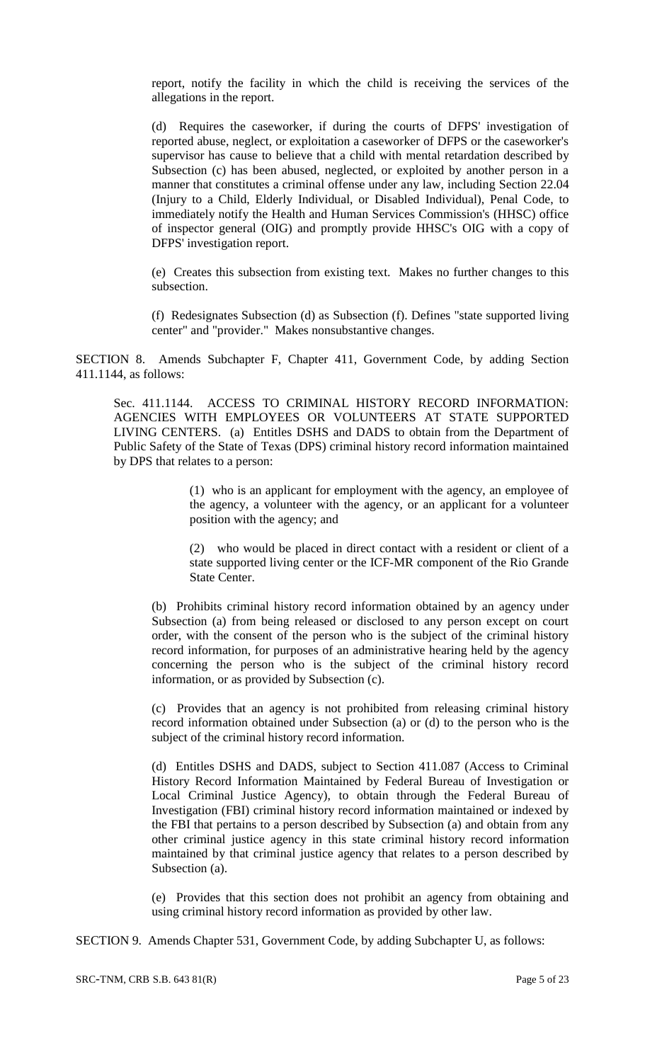report, notify the facility in which the child is receiving the services of the allegations in the report.

(d) Requires the caseworker, if during the courts of DFPS' investigation of reported abuse, neglect, or exploitation a caseworker of DFPS or the caseworker's supervisor has cause to believe that a child with mental retardation described by Subsection (c) has been abused, neglected, or exploited by another person in a manner that constitutes a criminal offense under any law, including Section 22.04 (Injury to a Child, Elderly Individual, or Disabled Individual), Penal Code, to immediately notify the Health and Human Services Commission's (HHSC) office of inspector general (OIG) and promptly provide HHSC's OIG with a copy of DFPS' investigation report.

(e) Creates this subsection from existing text. Makes no further changes to this subsection.

(f) Redesignates Subsection (d) as Subsection (f). Defines "state supported living center" and "provider." Makes nonsubstantive changes.

SECTION 8. Amends Subchapter F, Chapter 411, Government Code, by adding Section 411.1144, as follows:

Sec. 411.1144. ACCESS TO CRIMINAL HISTORY RECORD INFORMATION: AGENCIES WITH EMPLOYEES OR VOLUNTEERS AT STATE SUPPORTED LIVING CENTERS. (a) Entitles DSHS and DADS to obtain from the Department of Public Safety of the State of Texas (DPS) criminal history record information maintained by DPS that relates to a person:

> (1) who is an applicant for employment with the agency, an employee of the agency, a volunteer with the agency, or an applicant for a volunteer position with the agency; and

> (2) who would be placed in direct contact with a resident or client of a state supported living center or the ICF-MR component of the Rio Grande State Center.

(b) Prohibits criminal history record information obtained by an agency under Subsection (a) from being released or disclosed to any person except on court order, with the consent of the person who is the subject of the criminal history record information, for purposes of an administrative hearing held by the agency concerning the person who is the subject of the criminal history record information, or as provided by Subsection (c).

(c) Provides that an agency is not prohibited from releasing criminal history record information obtained under Subsection (a) or (d) to the person who is the subject of the criminal history record information.

(d) Entitles DSHS and DADS, subject to Section 411.087 (Access to Criminal History Record Information Maintained by Federal Bureau of Investigation or Local Criminal Justice Agency), to obtain through the Federal Bureau of Investigation (FBI) criminal history record information maintained or indexed by the FBI that pertains to a person described by Subsection (a) and obtain from any other criminal justice agency in this state criminal history record information maintained by that criminal justice agency that relates to a person described by Subsection (a).

(e) Provides that this section does not prohibit an agency from obtaining and using criminal history record information as provided by other law.

SECTION 9. Amends Chapter 531, Government Code, by adding Subchapter U, as follows: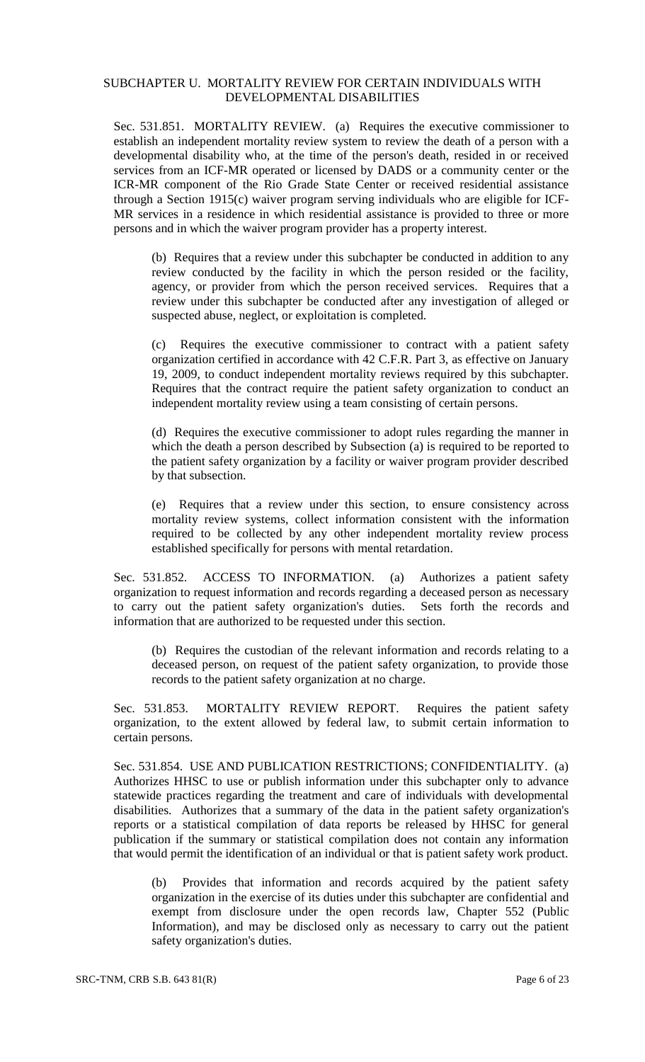## SUBCHAPTER U. MORTALITY REVIEW FOR CERTAIN INDIVIDUALS WITH DEVELOPMENTAL DISABILITIES

Sec. 531.851. MORTALITY REVIEW. (a) Requires the executive commissioner to establish an independent mortality review system to review the death of a person with a developmental disability who, at the time of the person's death, resided in or received services from an ICF-MR operated or licensed by DADS or a community center or the ICR-MR component of the Rio Grade State Center or received residential assistance through a Section 1915(c) waiver program serving individuals who are eligible for ICF-MR services in a residence in which residential assistance is provided to three or more persons and in which the waiver program provider has a property interest.

(b) Requires that a review under this subchapter be conducted in addition to any review conducted by the facility in which the person resided or the facility, agency, or provider from which the person received services. Requires that a review under this subchapter be conducted after any investigation of alleged or suspected abuse, neglect, or exploitation is completed.

(c) Requires the executive commissioner to contract with a patient safety organization certified in accordance with 42 C.F.R. Part 3, as effective on January 19, 2009, to conduct independent mortality reviews required by this subchapter. Requires that the contract require the patient safety organization to conduct an independent mortality review using a team consisting of certain persons.

(d) Requires the executive commissioner to adopt rules regarding the manner in which the death a person described by Subsection (a) is required to be reported to the patient safety organization by a facility or waiver program provider described by that subsection.

(e) Requires that a review under this section, to ensure consistency across mortality review systems, collect information consistent with the information required to be collected by any other independent mortality review process established specifically for persons with mental retardation.

Sec. 531.852. ACCESS TO INFORMATION. (a) Authorizes a patient safety organization to request information and records regarding a deceased person as necessary to carry out the patient safety organization's duties. Sets forth the records and information that are authorized to be requested under this section.

(b) Requires the custodian of the relevant information and records relating to a deceased person, on request of the patient safety organization, to provide those records to the patient safety organization at no charge.

Sec. 531.853. MORTALITY REVIEW REPORT. Requires the patient safety organization, to the extent allowed by federal law, to submit certain information to certain persons.

Sec. 531.854. USE AND PUBLICATION RESTRICTIONS; CONFIDENTIALITY. (a) Authorizes HHSC to use or publish information under this subchapter only to advance statewide practices regarding the treatment and care of individuals with developmental disabilities. Authorizes that a summary of the data in the patient safety organization's reports or a statistical compilation of data reports be released by HHSC for general publication if the summary or statistical compilation does not contain any information that would permit the identification of an individual or that is patient safety work product.

(b) Provides that information and records acquired by the patient safety organization in the exercise of its duties under this subchapter are confidential and exempt from disclosure under the open records law, Chapter 552 (Public Information), and may be disclosed only as necessary to carry out the patient safety organization's duties.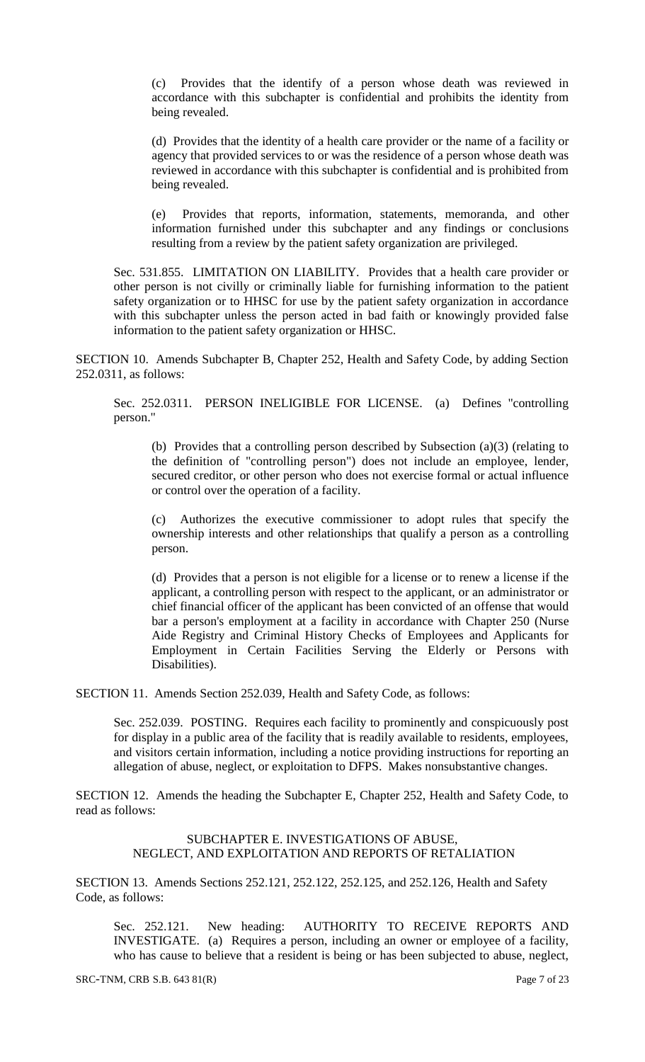(c) Provides that the identify of a person whose death was reviewed in accordance with this subchapter is confidential and prohibits the identity from being revealed.

(d) Provides that the identity of a health care provider or the name of a facility or agency that provided services to or was the residence of a person whose death was reviewed in accordance with this subchapter is confidential and is prohibited from being revealed.

(e) Provides that reports, information, statements, memoranda, and other information furnished under this subchapter and any findings or conclusions resulting from a review by the patient safety organization are privileged.

Sec. 531.855. LIMITATION ON LIABILITY. Provides that a health care provider or other person is not civilly or criminally liable for furnishing information to the patient safety organization or to HHSC for use by the patient safety organization in accordance with this subchapter unless the person acted in bad faith or knowingly provided false information to the patient safety organization or HHSC.

SECTION 10. Amends Subchapter B, Chapter 252, Health and Safety Code, by adding Section 252.0311, as follows:

Sec. 252.0311. PERSON INELIGIBLE FOR LICENSE. (a) Defines "controlling person."

(b) Provides that a controlling person described by Subsection (a)(3) (relating to the definition of "controlling person") does not include an employee, lender, secured creditor, or other person who does not exercise formal or actual influence or control over the operation of a facility.

(c) Authorizes the executive commissioner to adopt rules that specify the ownership interests and other relationships that qualify a person as a controlling person.

(d) Provides that a person is not eligible for a license or to renew a license if the applicant, a controlling person with respect to the applicant, or an administrator or chief financial officer of the applicant has been convicted of an offense that would bar a person's employment at a facility in accordance with Chapter 250 (Nurse Aide Registry and Criminal History Checks of Employees and Applicants for Employment in Certain Facilities Serving the Elderly or Persons with Disabilities).

SECTION 11. Amends Section 252.039, Health and Safety Code, as follows:

Sec. 252.039. POSTING. Requires each facility to prominently and conspicuously post for display in a public area of the facility that is readily available to residents, employees, and visitors certain information, including a notice providing instructions for reporting an allegation of abuse, neglect, or exploitation to DFPS. Makes nonsubstantive changes.

SECTION 12. Amends the heading the Subchapter E, Chapter 252, Health and Safety Code, to read as follows:

## SUBCHAPTER E. INVESTIGATIONS OF ABUSE, NEGLECT, AND EXPLOITATION AND REPORTS OF RETALIATION

SECTION 13. Amends Sections 252.121, 252.122, 252.125, and 252.126, Health and Safety Code, as follows:

Sec. 252.121. New heading: AUTHORITY TO RECEIVE REPORTS AND INVESTIGATE. (a) Requires a person, including an owner or employee of a facility, who has cause to believe that a resident is being or has been subjected to abuse, neglect,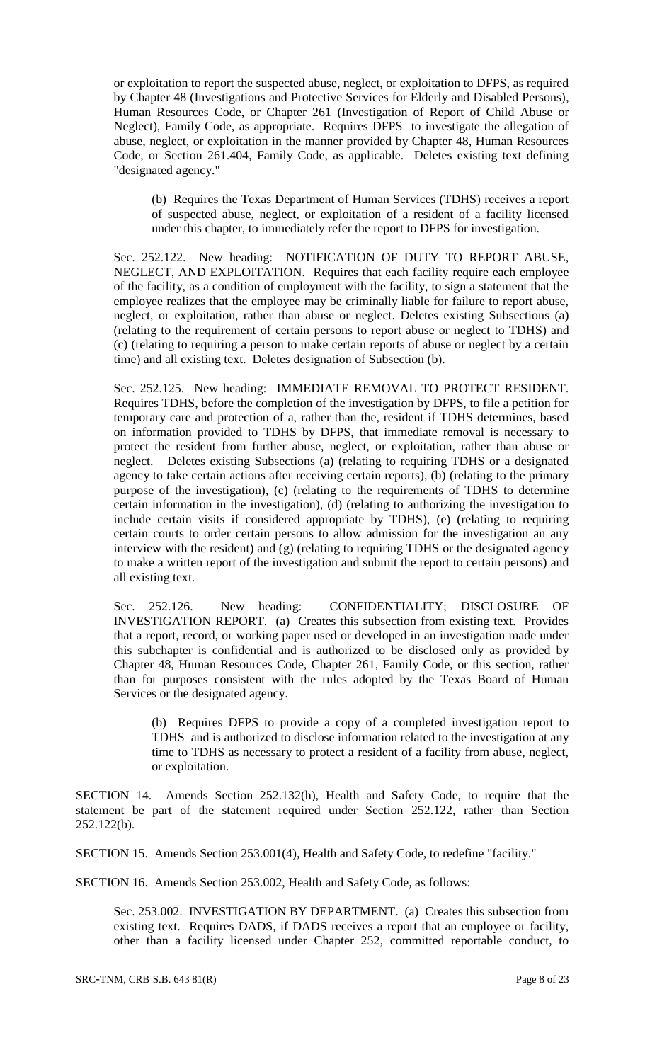or exploitation to report the suspected abuse, neglect, or exploitation to DFPS, as required by Chapter 48 (Investigations and Protective Services for Elderly and Disabled Persons), Human Resources Code, or Chapter 261 (Investigation of Report of Child Abuse or Neglect), Family Code, as appropriate. Requires DFPS to investigate the allegation of abuse, neglect, or exploitation in the manner provided by Chapter 48, Human Resources Code, or Section 261.404, Family Code, as applicable. Deletes existing text defining "designated agency."

(b) Requires the Texas Department of Human Services (TDHS) receives a report of suspected abuse, neglect, or exploitation of a resident of a facility licensed under this chapter, to immediately refer the report to DFPS for investigation.

Sec. 252.122. New heading: NOTIFICATION OF DUTY TO REPORT ABUSE, NEGLECT, AND EXPLOITATION. Requires that each facility require each employee of the facility, as a condition of employment with the facility, to sign a statement that the employee realizes that the employee may be criminally liable for failure to report abuse, neglect, or exploitation, rather than abuse or neglect. Deletes existing Subsections (a) (relating to the requirement of certain persons to report abuse or neglect to TDHS) and (c) (relating to requiring a person to make certain reports of abuse or neglect by a certain time) and all existing text. Deletes designation of Subsection (b).

Sec. 252.125. New heading: IMMEDIATE REMOVAL TO PROTECT RESIDENT. Requires TDHS, before the completion of the investigation by DFPS, to file a petition for temporary care and protection of a, rather than the, resident if TDHS determines, based on information provided to TDHS by DFPS, that immediate removal is necessary to protect the resident from further abuse, neglect, or exploitation, rather than abuse or neglect. Deletes existing Subsections (a) (relating to requiring TDHS or a designated agency to take certain actions after receiving certain reports), (b) (relating to the primary purpose of the investigation), (c) (relating to the requirements of TDHS to determine certain information in the investigation), (d) (relating to authorizing the investigation to include certain visits if considered appropriate by TDHS), (e) (relating to requiring certain courts to order certain persons to allow admission for the investigation an any interview with the resident) and (g) (relating to requiring TDHS or the designated agency to make a written report of the investigation and submit the report to certain persons) and all existing text.

Sec. 252.126. New heading: CONFIDENTIALITY; DISCLOSURE OF INVESTIGATION REPORT. (a) Creates this subsection from existing text. Provides that a report, record, or working paper used or developed in an investigation made under this subchapter is confidential and is authorized to be disclosed only as provided by Chapter 48, Human Resources Code, Chapter 261, Family Code, or this section, rather than for purposes consistent with the rules adopted by the Texas Board of Human Services or the designated agency.

(b) Requires DFPS to provide a copy of a completed investigation report to TDHS and is authorized to disclose information related to the investigation at any time to TDHS as necessary to protect a resident of a facility from abuse, neglect, or exploitation.

SECTION 14. Amends Section 252.132(h), Health and Safety Code, to require that the statement be part of the statement required under Section 252.122, rather than Section 252.122(b).

SECTION 15. Amends Section 253.001(4), Health and Safety Code, to redefine "facility."

SECTION 16. Amends Section 253.002, Health and Safety Code, as follows:

Sec. 253.002. INVESTIGATION BY DEPARTMENT. (a) Creates this subsection from existing text. Requires DADS, if DADS receives a report that an employee or facility, other than a facility licensed under Chapter 252, committed reportable conduct, to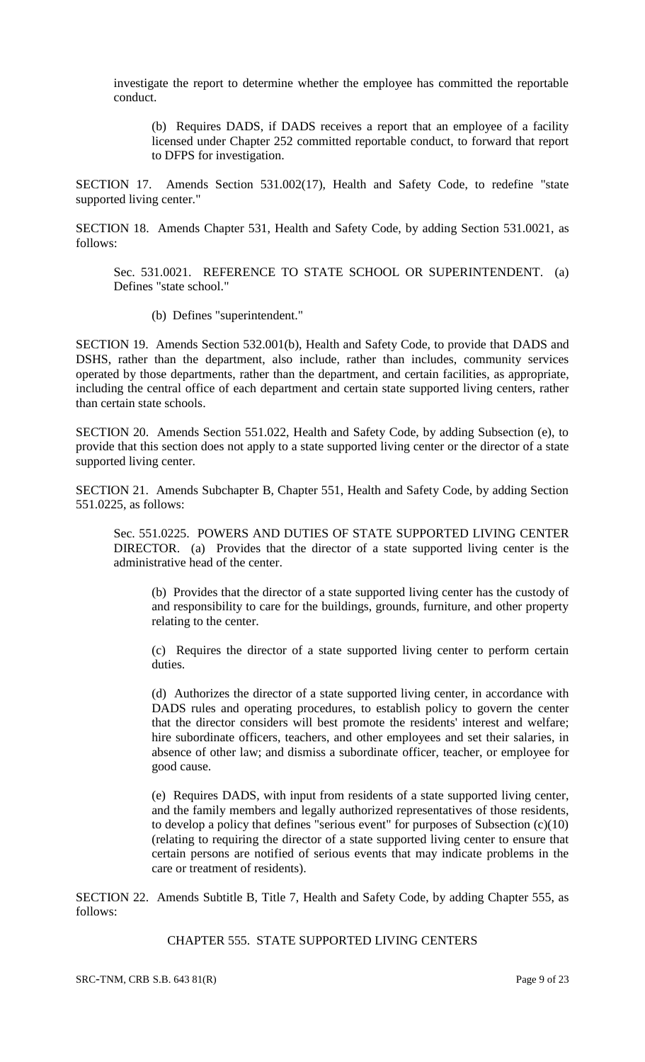investigate the report to determine whether the employee has committed the reportable conduct.

(b) Requires DADS, if DADS receives a report that an employee of a facility licensed under Chapter 252 committed reportable conduct, to forward that report to DFPS for investigation.

SECTION 17. Amends Section 531.002(17), Health and Safety Code, to redefine "state supported living center."

SECTION 18. Amends Chapter 531, Health and Safety Code, by adding Section 531.0021, as follows:

Sec. 531.0021. REFERENCE TO STATE SCHOOL OR SUPERINTENDENT. (a) Defines "state school."

(b) Defines "superintendent."

SECTION 19. Amends Section 532.001(b), Health and Safety Code, to provide that DADS and DSHS, rather than the department, also include, rather than includes, community services operated by those departments, rather than the department, and certain facilities, as appropriate, including the central office of each department and certain state supported living centers, rather than certain state schools.

SECTION 20. Amends Section 551.022, Health and Safety Code, by adding Subsection (e), to provide that this section does not apply to a state supported living center or the director of a state supported living center.

SECTION 21. Amends Subchapter B, Chapter 551, Health and Safety Code, by adding Section 551.0225, as follows:

Sec. 551.0225. POWERS AND DUTIES OF STATE SUPPORTED LIVING CENTER DIRECTOR. (a) Provides that the director of a state supported living center is the administrative head of the center.

(b) Provides that the director of a state supported living center has the custody of and responsibility to care for the buildings, grounds, furniture, and other property relating to the center.

(c) Requires the director of a state supported living center to perform certain duties.

(d) Authorizes the director of a state supported living center, in accordance with DADS rules and operating procedures, to establish policy to govern the center that the director considers will best promote the residents' interest and welfare; hire subordinate officers, teachers, and other employees and set their salaries, in absence of other law; and dismiss a subordinate officer, teacher, or employee for good cause.

(e) Requires DADS, with input from residents of a state supported living center, and the family members and legally authorized representatives of those residents, to develop a policy that defines "serious event" for purposes of Subsection  $(c)(10)$ (relating to requiring the director of a state supported living center to ensure that certain persons are notified of serious events that may indicate problems in the care or treatment of residents).

SECTION 22. Amends Subtitle B, Title 7, Health and Safety Code, by adding Chapter 555, as follows:

CHAPTER 555. STATE SUPPORTED LIVING CENTERS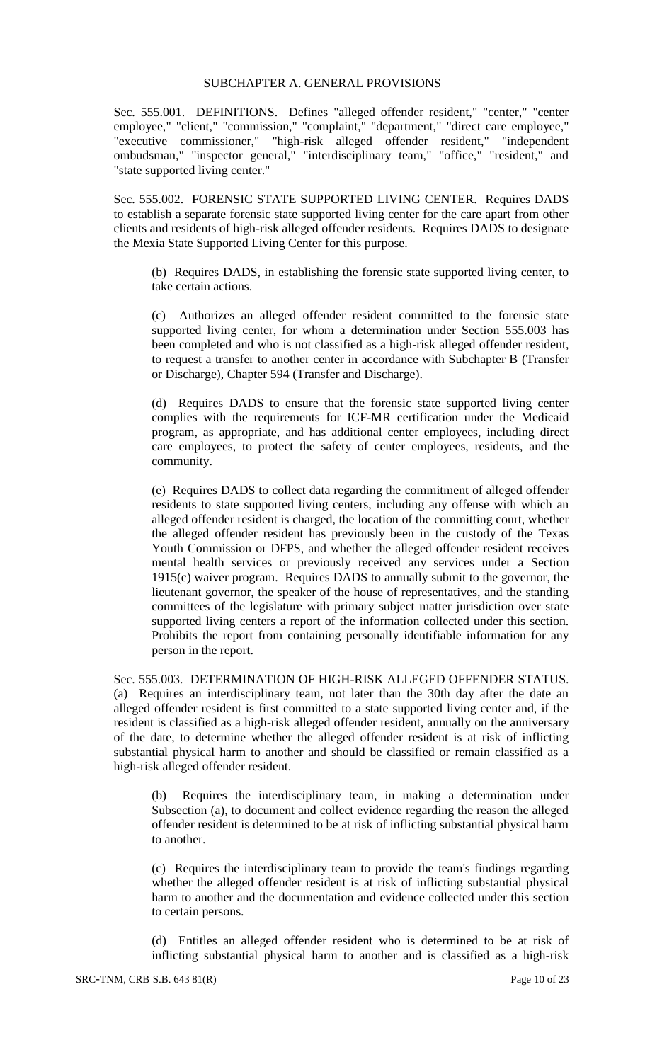#### SUBCHAPTER A. GENERAL PROVISIONS

Sec. 555.001. DEFINITIONS. Defines "alleged offender resident," "center," "center employee," "client," "commission," "complaint," "department," "direct care employee," "executive commissioner," "high-risk alleged offender resident," "independent ombudsman," "inspector general," "interdisciplinary team," "office," "resident," and "state supported living center."

Sec. 555.002. FORENSIC STATE SUPPORTED LIVING CENTER. Requires DADS to establish a separate forensic state supported living center for the care apart from other clients and residents of high-risk alleged offender residents. Requires DADS to designate the Mexia State Supported Living Center for this purpose.

(b) Requires DADS, in establishing the forensic state supported living center, to take certain actions.

(c) Authorizes an alleged offender resident committed to the forensic state supported living center, for whom a determination under Section 555.003 has been completed and who is not classified as a high-risk alleged offender resident, to request a transfer to another center in accordance with Subchapter B (Transfer or Discharge), Chapter 594 (Transfer and Discharge).

(d) Requires DADS to ensure that the forensic state supported living center complies with the requirements for ICF-MR certification under the Medicaid program, as appropriate, and has additional center employees, including direct care employees, to protect the safety of center employees, residents, and the community.

(e) Requires DADS to collect data regarding the commitment of alleged offender residents to state supported living centers, including any offense with which an alleged offender resident is charged, the location of the committing court, whether the alleged offender resident has previously been in the custody of the Texas Youth Commission or DFPS, and whether the alleged offender resident receives mental health services or previously received any services under a Section 1915(c) waiver program. Requires DADS to annually submit to the governor, the lieutenant governor, the speaker of the house of representatives, and the standing committees of the legislature with primary subject matter jurisdiction over state supported living centers a report of the information collected under this section. Prohibits the report from containing personally identifiable information for any person in the report.

Sec. 555.003. DETERMINATION OF HIGH-RISK ALLEGED OFFENDER STATUS. (a) Requires an interdisciplinary team, not later than the 30th day after the date an alleged offender resident is first committed to a state supported living center and, if the resident is classified as a high-risk alleged offender resident, annually on the anniversary of the date, to determine whether the alleged offender resident is at risk of inflicting substantial physical harm to another and should be classified or remain classified as a high-risk alleged offender resident.

(b) Requires the interdisciplinary team, in making a determination under Subsection (a), to document and collect evidence regarding the reason the alleged offender resident is determined to be at risk of inflicting substantial physical harm to another.

(c) Requires the interdisciplinary team to provide the team's findings regarding whether the alleged offender resident is at risk of inflicting substantial physical harm to another and the documentation and evidence collected under this section to certain persons.

(d) Entitles an alleged offender resident who is determined to be at risk of inflicting substantial physical harm to another and is classified as a high-risk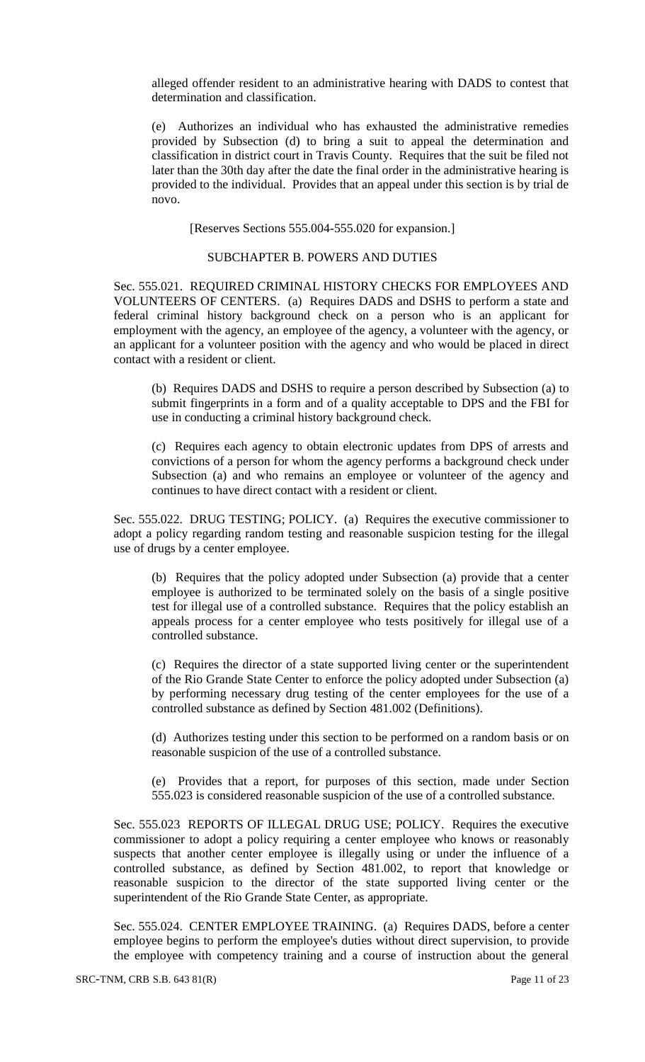alleged offender resident to an administrative hearing with DADS to contest that determination and classification.

(e) Authorizes an individual who has exhausted the administrative remedies provided by Subsection (d) to bring a suit to appeal the determination and classification in district court in Travis County. Requires that the suit be filed not later than the 30th day after the date the final order in the administrative hearing is provided to the individual. Provides that an appeal under this section is by trial de novo.

[Reserves Sections 555.004-555.020 for expansion.]

#### SUBCHAPTER B. POWERS AND DUTIES

Sec. 555.021. REQUIRED CRIMINAL HISTORY CHECKS FOR EMPLOYEES AND VOLUNTEERS OF CENTERS. (a) Requires DADS and DSHS to perform a state and federal criminal history background check on a person who is an applicant for employment with the agency, an employee of the agency, a volunteer with the agency, or an applicant for a volunteer position with the agency and who would be placed in direct contact with a resident or client.

(b) Requires DADS and DSHS to require a person described by Subsection (a) to submit fingerprints in a form and of a quality acceptable to DPS and the FBI for use in conducting a criminal history background check.

(c) Requires each agency to obtain electronic updates from DPS of arrests and convictions of a person for whom the agency performs a background check under Subsection (a) and who remains an employee or volunteer of the agency and continues to have direct contact with a resident or client.

Sec. 555.022. DRUG TESTING; POLICY. (a) Requires the executive commissioner to adopt a policy regarding random testing and reasonable suspicion testing for the illegal use of drugs by a center employee.

(b) Requires that the policy adopted under Subsection (a) provide that a center employee is authorized to be terminated solely on the basis of a single positive test for illegal use of a controlled substance. Requires that the policy establish an appeals process for a center employee who tests positively for illegal use of a controlled substance.

(c) Requires the director of a state supported living center or the superintendent of the Rio Grande State Center to enforce the policy adopted under Subsection (a) by performing necessary drug testing of the center employees for the use of a controlled substance as defined by Section 481.002 (Definitions).

(d) Authorizes testing under this section to be performed on a random basis or on reasonable suspicion of the use of a controlled substance.

(e) Provides that a report, for purposes of this section, made under Section 555.023 is considered reasonable suspicion of the use of a controlled substance.

Sec. 555.023 REPORTS OF ILLEGAL DRUG USE; POLICY. Requires the executive commissioner to adopt a policy requiring a center employee who knows or reasonably suspects that another center employee is illegally using or under the influence of a controlled substance, as defined by Section 481.002, to report that knowledge or reasonable suspicion to the director of the state supported living center or the superintendent of the Rio Grande State Center, as appropriate.

Sec. 555.024. CENTER EMPLOYEE TRAINING. (a) Requires DADS, before a center employee begins to perform the employee's duties without direct supervision, to provide the employee with competency training and a course of instruction about the general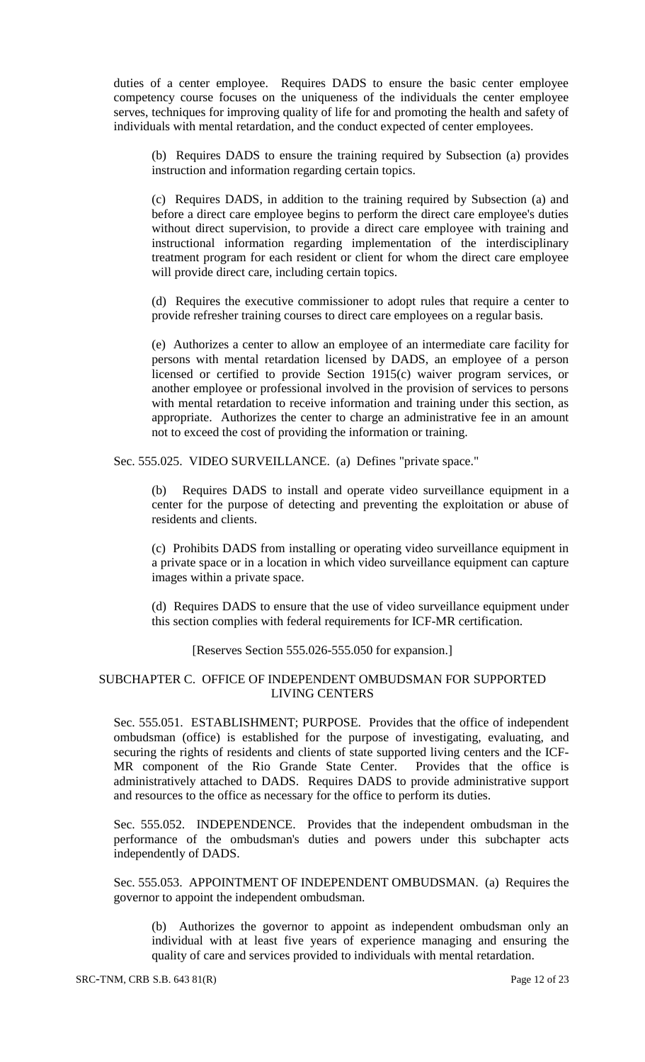duties of a center employee. Requires DADS to ensure the basic center employee competency course focuses on the uniqueness of the individuals the center employee serves, techniques for improving quality of life for and promoting the health and safety of individuals with mental retardation, and the conduct expected of center employees.

(b) Requires DADS to ensure the training required by Subsection (a) provides instruction and information regarding certain topics.

(c) Requires DADS, in addition to the training required by Subsection (a) and before a direct care employee begins to perform the direct care employee's duties without direct supervision, to provide a direct care employee with training and instructional information regarding implementation of the interdisciplinary treatment program for each resident or client for whom the direct care employee will provide direct care, including certain topics.

(d) Requires the executive commissioner to adopt rules that require a center to provide refresher training courses to direct care employees on a regular basis.

(e) Authorizes a center to allow an employee of an intermediate care facility for persons with mental retardation licensed by DADS, an employee of a person licensed or certified to provide Section 1915(c) waiver program services, or another employee or professional involved in the provision of services to persons with mental retardation to receive information and training under this section, as appropriate. Authorizes the center to charge an administrative fee in an amount not to exceed the cost of providing the information or training.

Sec. 555.025. VIDEO SURVEILLANCE. (a) Defines "private space."

(b) Requires DADS to install and operate video surveillance equipment in a center for the purpose of detecting and preventing the exploitation or abuse of residents and clients.

(c) Prohibits DADS from installing or operating video surveillance equipment in a private space or in a location in which video surveillance equipment can capture images within a private space.

(d) Requires DADS to ensure that the use of video surveillance equipment under this section complies with federal requirements for ICF-MR certification.

#### [Reserves Section 555.026-555.050 for expansion.]

## SUBCHAPTER C. OFFICE OF INDEPENDENT OMBUDSMAN FOR SUPPORTED LIVING CENTERS

Sec. 555.051. ESTABLISHMENT; PURPOSE. Provides that the office of independent ombudsman (office) is established for the purpose of investigating, evaluating, and securing the rights of residents and clients of state supported living centers and the ICF-MR component of the Rio Grande State Center. Provides that the office is administratively attached to DADS. Requires DADS to provide administrative support and resources to the office as necessary for the office to perform its duties.

Sec. 555.052. INDEPENDENCE. Provides that the independent ombudsman in the performance of the ombudsman's duties and powers under this subchapter acts independently of DADS.

Sec. 555.053. APPOINTMENT OF INDEPENDENT OMBUDSMAN. (a) Requires the governor to appoint the independent ombudsman.

(b) Authorizes the governor to appoint as independent ombudsman only an individual with at least five years of experience managing and ensuring the quality of care and services provided to individuals with mental retardation.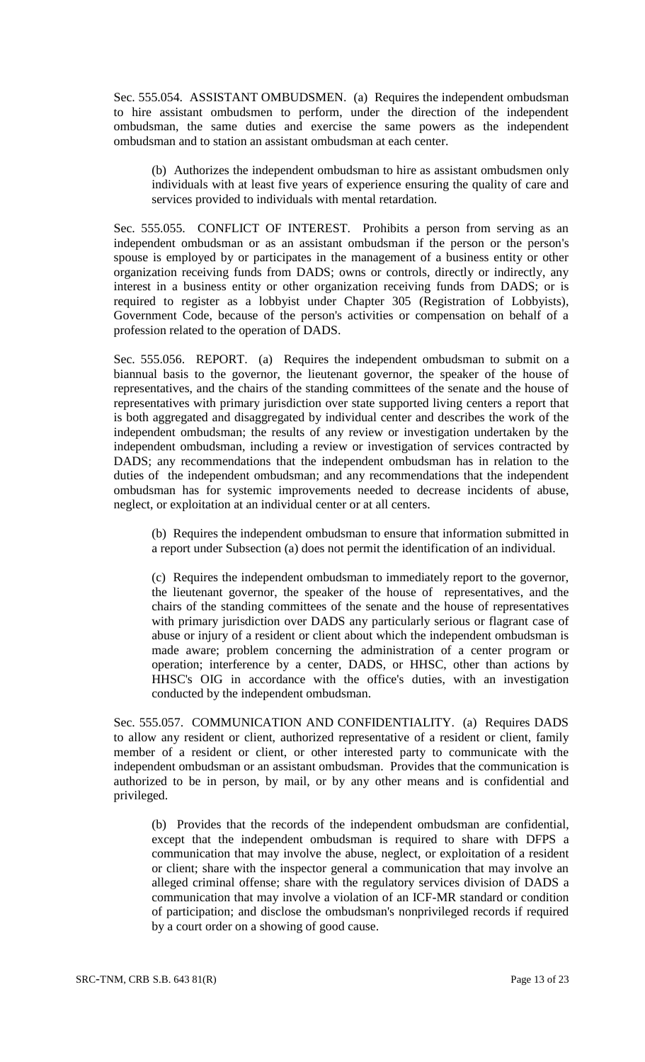Sec. 555.054. ASSISTANT OMBUDSMEN. (a) Requires the independent ombudsman to hire assistant ombudsmen to perform, under the direction of the independent ombudsman, the same duties and exercise the same powers as the independent ombudsman and to station an assistant ombudsman at each center.

(b) Authorizes the independent ombudsman to hire as assistant ombudsmen only individuals with at least five years of experience ensuring the quality of care and services provided to individuals with mental retardation.

Sec. 555.055. CONFLICT OF INTEREST. Prohibits a person from serving as an independent ombudsman or as an assistant ombudsman if the person or the person's spouse is employed by or participates in the management of a business entity or other organization receiving funds from DADS; owns or controls, directly or indirectly, any interest in a business entity or other organization receiving funds from DADS; or is required to register as a lobbyist under Chapter 305 (Registration of Lobbyists), Government Code, because of the person's activities or compensation on behalf of a profession related to the operation of DADS.

Sec. 555.056. REPORT. (a) Requires the independent ombudsman to submit on a biannual basis to the governor, the lieutenant governor, the speaker of the house of representatives, and the chairs of the standing committees of the senate and the house of representatives with primary jurisdiction over state supported living centers a report that is both aggregated and disaggregated by individual center and describes the work of the independent ombudsman; the results of any review or investigation undertaken by the independent ombudsman, including a review or investigation of services contracted by DADS; any recommendations that the independent ombudsman has in relation to the duties of the independent ombudsman; and any recommendations that the independent ombudsman has for systemic improvements needed to decrease incidents of abuse, neglect, or exploitation at an individual center or at all centers.

(b) Requires the independent ombudsman to ensure that information submitted in a report under Subsection (a) does not permit the identification of an individual.

(c) Requires the independent ombudsman to immediately report to the governor, the lieutenant governor, the speaker of the house of representatives, and the chairs of the standing committees of the senate and the house of representatives with primary jurisdiction over DADS any particularly serious or flagrant case of abuse or injury of a resident or client about which the independent ombudsman is made aware; problem concerning the administration of a center program or operation; interference by a center, DADS, or HHSC, other than actions by HHSC's OIG in accordance with the office's duties, with an investigation conducted by the independent ombudsman.

Sec. 555.057. COMMUNICATION AND CONFIDENTIALITY. (a) Requires DADS to allow any resident or client, authorized representative of a resident or client, family member of a resident or client, or other interested party to communicate with the independent ombudsman or an assistant ombudsman. Provides that the communication is authorized to be in person, by mail, or by any other means and is confidential and privileged.

(b) Provides that the records of the independent ombudsman are confidential, except that the independent ombudsman is required to share with DFPS a communication that may involve the abuse, neglect, or exploitation of a resident or client; share with the inspector general a communication that may involve an alleged criminal offense; share with the regulatory services division of DADS a communication that may involve a violation of an ICF-MR standard or condition of participation; and disclose the ombudsman's nonprivileged records if required by a court order on a showing of good cause.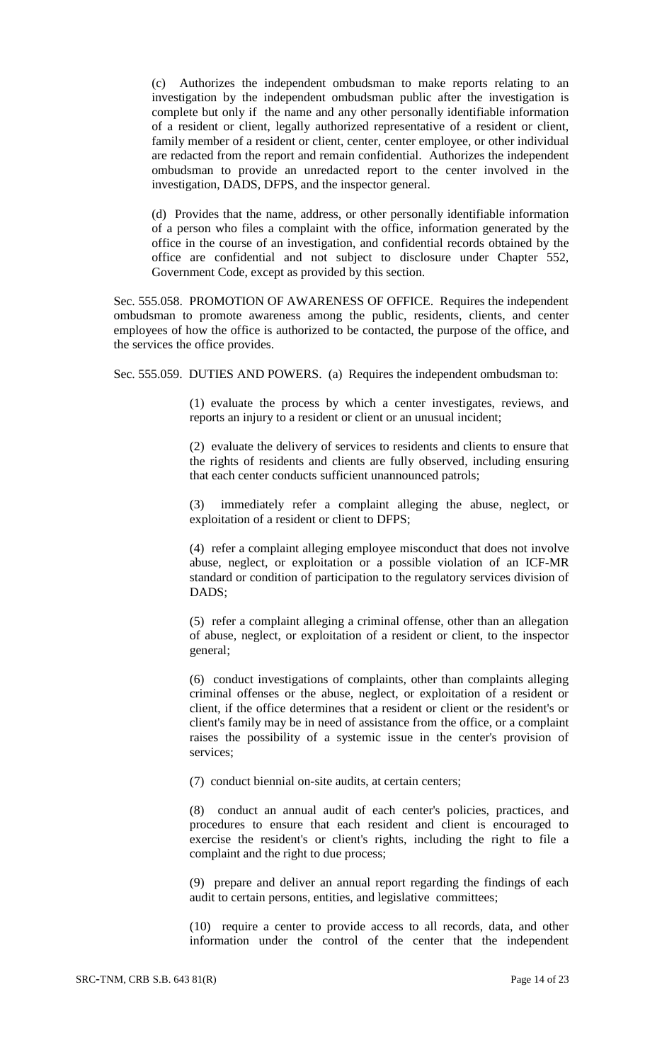(c) Authorizes the independent ombudsman to make reports relating to an investigation by the independent ombudsman public after the investigation is complete but only if the name and any other personally identifiable information of a resident or client, legally authorized representative of a resident or client, family member of a resident or client, center, center employee, or other individual are redacted from the report and remain confidential. Authorizes the independent ombudsman to provide an unredacted report to the center involved in the investigation, DADS, DFPS, and the inspector general.

(d) Provides that the name, address, or other personally identifiable information of a person who files a complaint with the office, information generated by the office in the course of an investigation, and confidential records obtained by the office are confidential and not subject to disclosure under Chapter 552, Government Code, except as provided by this section.

Sec. 555.058. PROMOTION OF AWARENESS OF OFFICE. Requires the independent ombudsman to promote awareness among the public, residents, clients, and center employees of how the office is authorized to be contacted, the purpose of the office, and the services the office provides.

Sec. 555.059. DUTIES AND POWERS. (a) Requires the independent ombudsman to:

(1) evaluate the process by which a center investigates, reviews, and reports an injury to a resident or client or an unusual incident;

(2) evaluate the delivery of services to residents and clients to ensure that the rights of residents and clients are fully observed, including ensuring that each center conducts sufficient unannounced patrols;

(3) immediately refer a complaint alleging the abuse, neglect, or exploitation of a resident or client to DFPS;

(4) refer a complaint alleging employee misconduct that does not involve abuse, neglect, or exploitation or a possible violation of an ICF-MR standard or condition of participation to the regulatory services division of DADS;

(5) refer a complaint alleging a criminal offense, other than an allegation of abuse, neglect, or exploitation of a resident or client, to the inspector general;

(6) conduct investigations of complaints, other than complaints alleging criminal offenses or the abuse, neglect, or exploitation of a resident or client, if the office determines that a resident or client or the resident's or client's family may be in need of assistance from the office, or a complaint raises the possibility of a systemic issue in the center's provision of services;

(7) conduct biennial on-site audits, at certain centers;

(8) conduct an annual audit of each center's policies, practices, and procedures to ensure that each resident and client is encouraged to exercise the resident's or client's rights, including the right to file a complaint and the right to due process;

(9) prepare and deliver an annual report regarding the findings of each audit to certain persons, entities, and legislative committees;

(10) require a center to provide access to all records, data, and other information under the control of the center that the independent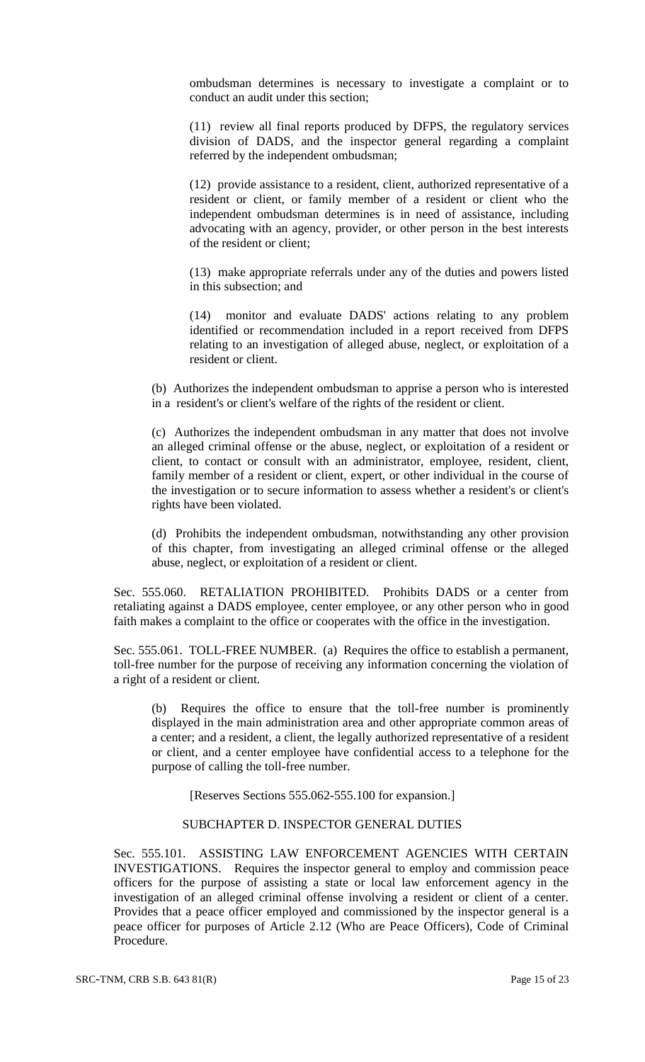ombudsman determines is necessary to investigate a complaint or to conduct an audit under this section;

(11) review all final reports produced by DFPS, the regulatory services division of DADS, and the inspector general regarding a complaint referred by the independent ombudsman;

(12) provide assistance to a resident, client, authorized representative of a resident or client, or family member of a resident or client who the independent ombudsman determines is in need of assistance, including advocating with an agency, provider, or other person in the best interests of the resident or client;

(13) make appropriate referrals under any of the duties and powers listed in this subsection; and

(14) monitor and evaluate DADS' actions relating to any problem identified or recommendation included in a report received from DFPS relating to an investigation of alleged abuse, neglect, or exploitation of a resident or client.

(b) Authorizes the independent ombudsman to apprise a person who is interested in a resident's or client's welfare of the rights of the resident or client.

(c) Authorizes the independent ombudsman in any matter that does not involve an alleged criminal offense or the abuse, neglect, or exploitation of a resident or client, to contact or consult with an administrator, employee, resident, client, family member of a resident or client, expert, or other individual in the course of the investigation or to secure information to assess whether a resident's or client's rights have been violated.

(d) Prohibits the independent ombudsman, notwithstanding any other provision of this chapter, from investigating an alleged criminal offense or the alleged abuse, neglect, or exploitation of a resident or client.

Sec. 555.060. RETALIATION PROHIBITED. Prohibits DADS or a center from retaliating against a DADS employee, center employee, or any other person who in good faith makes a complaint to the office or cooperates with the office in the investigation.

Sec. 555.061. TOLL-FREE NUMBER. (a) Requires the office to establish a permanent, toll-free number for the purpose of receiving any information concerning the violation of a right of a resident or client.

(b) Requires the office to ensure that the toll-free number is prominently displayed in the main administration area and other appropriate common areas of a center; and a resident, a client, the legally authorized representative of a resident or client, and a center employee have confidential access to a telephone for the purpose of calling the toll-free number.

[Reserves Sections 555.062-555.100 for expansion.]

# SUBCHAPTER D. INSPECTOR GENERAL DUTIES

Sec. 555.101. ASSISTING LAW ENFORCEMENT AGENCIES WITH CERTAIN INVESTIGATIONS. Requires the inspector general to employ and commission peace officers for the purpose of assisting a state or local law enforcement agency in the investigation of an alleged criminal offense involving a resident or client of a center. Provides that a peace officer employed and commissioned by the inspector general is a peace officer for purposes of Article 2.12 (Who are Peace Officers), Code of Criminal Procedure.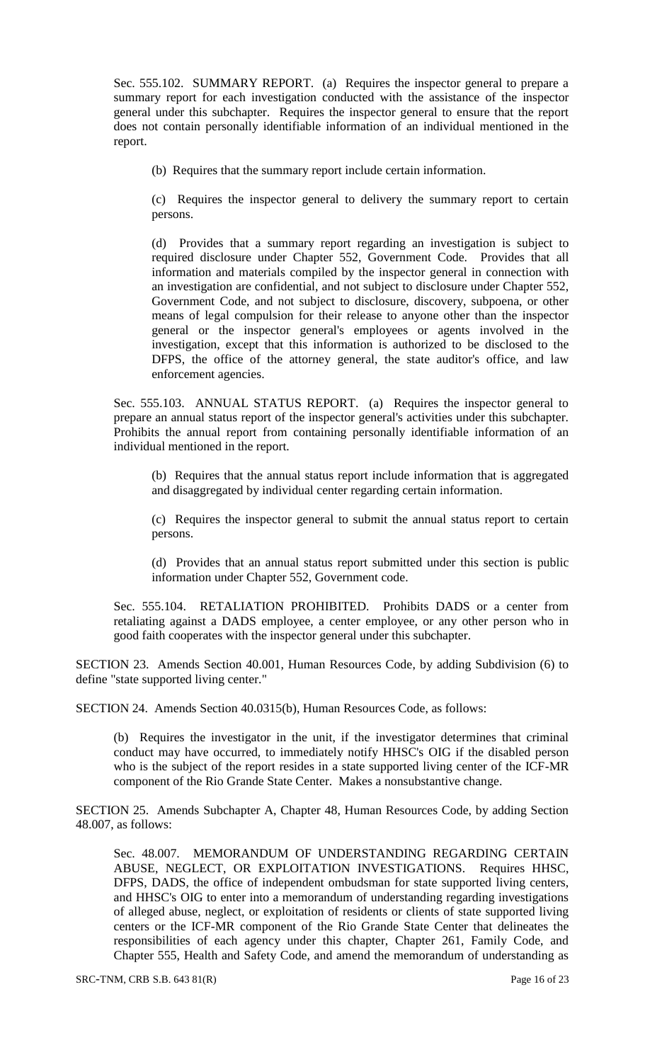Sec. 555.102. SUMMARY REPORT. (a) Requires the inspector general to prepare a summary report for each investigation conducted with the assistance of the inspector general under this subchapter. Requires the inspector general to ensure that the report does not contain personally identifiable information of an individual mentioned in the report.

(b) Requires that the summary report include certain information.

(c) Requires the inspector general to delivery the summary report to certain persons.

(d) Provides that a summary report regarding an investigation is subject to required disclosure under Chapter 552, Government Code. Provides that all information and materials compiled by the inspector general in connection with an investigation are confidential, and not subject to disclosure under Chapter 552, Government Code, and not subject to disclosure, discovery, subpoena, or other means of legal compulsion for their release to anyone other than the inspector general or the inspector general's employees or agents involved in the investigation, except that this information is authorized to be disclosed to the DFPS, the office of the attorney general, the state auditor's office, and law enforcement agencies.

Sec. 555.103. ANNUAL STATUS REPORT. (a) Requires the inspector general to prepare an annual status report of the inspector general's activities under this subchapter. Prohibits the annual report from containing personally identifiable information of an individual mentioned in the report.

(b) Requires that the annual status report include information that is aggregated and disaggregated by individual center regarding certain information.

(c) Requires the inspector general to submit the annual status report to certain persons.

(d) Provides that an annual status report submitted under this section is public information under Chapter 552, Government code.

Sec. 555.104. RETALIATION PROHIBITED. Prohibits DADS or a center from retaliating against a DADS employee, a center employee, or any other person who in good faith cooperates with the inspector general under this subchapter.

SECTION 23. Amends Section 40.001, Human Resources Code, by adding Subdivision (6) to define "state supported living center."

SECTION 24. Amends Section 40.0315(b), Human Resources Code, as follows:

(b) Requires the investigator in the unit, if the investigator determines that criminal conduct may have occurred, to immediately notify HHSC's OIG if the disabled person who is the subject of the report resides in a state supported living center of the ICF-MR component of the Rio Grande State Center. Makes a nonsubstantive change.

SECTION 25. Amends Subchapter A, Chapter 48, Human Resources Code, by adding Section 48.007, as follows:

Sec. 48.007. MEMORANDUM OF UNDERSTANDING REGARDING CERTAIN ABUSE, NEGLECT, OR EXPLOITATION INVESTIGATIONS. Requires HHSC, DFPS, DADS, the office of independent ombudsman for state supported living centers, and HHSC's OIG to enter into a memorandum of understanding regarding investigations of alleged abuse, neglect, or exploitation of residents or clients of state supported living centers or the ICF-MR component of the Rio Grande State Center that delineates the responsibilities of each agency under this chapter, Chapter 261, Family Code, and Chapter 555, Health and Safety Code, and amend the memorandum of understanding as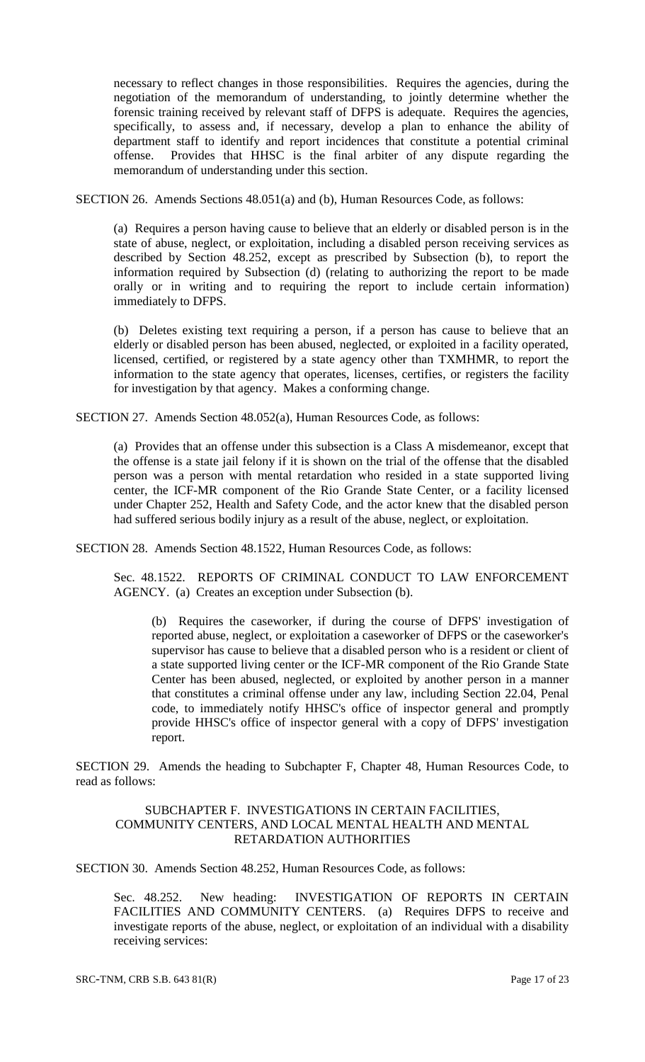necessary to reflect changes in those responsibilities. Requires the agencies, during the negotiation of the memorandum of understanding, to jointly determine whether the forensic training received by relevant staff of DFPS is adequate. Requires the agencies, specifically, to assess and, if necessary, develop a plan to enhance the ability of department staff to identify and report incidences that constitute a potential criminal offense. Provides that HHSC is the final arbiter of any dispute regarding the memorandum of understanding under this section.

SECTION 26. Amends Sections 48.051(a) and (b), Human Resources Code, as follows:

(a) Requires a person having cause to believe that an elderly or disabled person is in the state of abuse, neglect, or exploitation, including a disabled person receiving services as described by Section 48.252, except as prescribed by Subsection (b), to report the information required by Subsection (d) (relating to authorizing the report to be made orally or in writing and to requiring the report to include certain information) immediately to DFPS.

(b) Deletes existing text requiring a person, if a person has cause to believe that an elderly or disabled person has been abused, neglected, or exploited in a facility operated, licensed, certified, or registered by a state agency other than TXMHMR, to report the information to the state agency that operates, licenses, certifies, or registers the facility for investigation by that agency. Makes a conforming change.

SECTION 27. Amends Section 48.052(a), Human Resources Code, as follows:

(a) Provides that an offense under this subsection is a Class A misdemeanor, except that the offense is a state jail felony if it is shown on the trial of the offense that the disabled person was a person with mental retardation who resided in a state supported living center, the ICF-MR component of the Rio Grande State Center, or a facility licensed under Chapter 252, Health and Safety Code, and the actor knew that the disabled person had suffered serious bodily injury as a result of the abuse, neglect, or exploitation.

SECTION 28. Amends Section 48.1522, Human Resources Code, as follows:

Sec. 48.1522. REPORTS OF CRIMINAL CONDUCT TO LAW ENFORCEMENT AGENCY. (a) Creates an exception under Subsection (b).

(b) Requires the caseworker, if during the course of DFPS' investigation of reported abuse, neglect, or exploitation a caseworker of DFPS or the caseworker's supervisor has cause to believe that a disabled person who is a resident or client of a state supported living center or the ICF-MR component of the Rio Grande State Center has been abused, neglected, or exploited by another person in a manner that constitutes a criminal offense under any law, including Section 22.04, Penal code, to immediately notify HHSC's office of inspector general and promptly provide HHSC's office of inspector general with a copy of DFPS' investigation report.

SECTION 29. Amends the heading to Subchapter F, Chapter 48, Human Resources Code, to read as follows:

## SUBCHAPTER F. INVESTIGATIONS IN CERTAIN FACILITIES, COMMUNITY CENTERS, AND LOCAL MENTAL HEALTH AND MENTAL RETARDATION AUTHORITIES

SECTION 30. Amends Section 48.252, Human Resources Code, as follows:

Sec. 48.252. New heading: INVESTIGATION OF REPORTS IN CERTAIN FACILITIES AND COMMUNITY CENTERS. (a) Requires DFPS to receive and investigate reports of the abuse, neglect, or exploitation of an individual with a disability receiving services: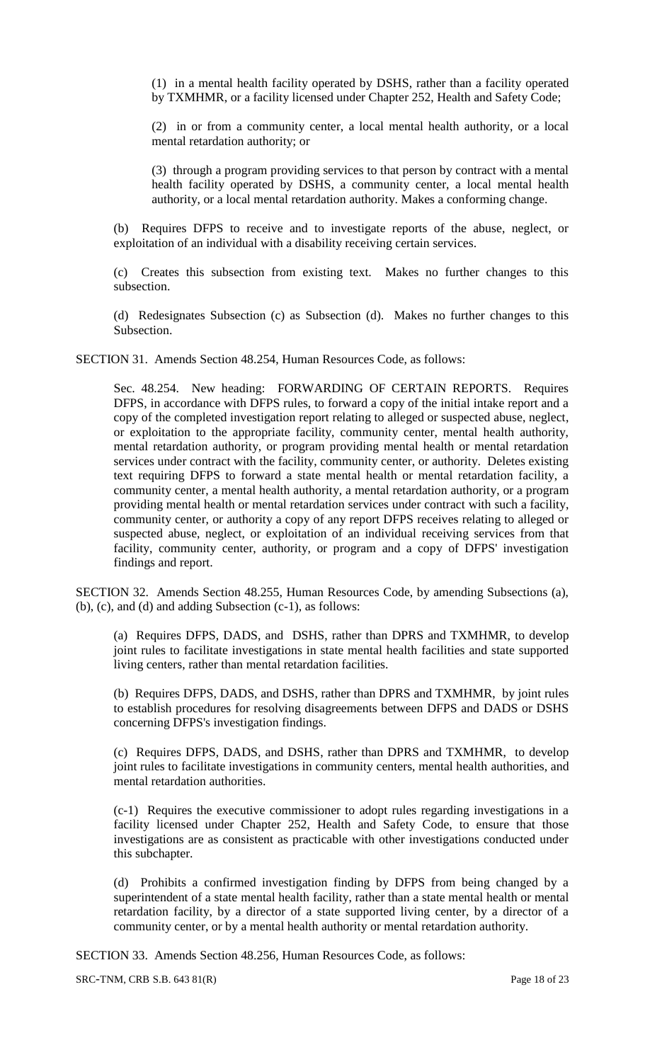(1) in a mental health facility operated by DSHS, rather than a facility operated by TXMHMR, or a facility licensed under Chapter 252, Health and Safety Code;

(2) in or from a community center, a local mental health authority, or a local mental retardation authority; or

(3) through a program providing services to that person by contract with a mental health facility operated by DSHS, a community center, a local mental health authority, or a local mental retardation authority. Makes a conforming change.

(b) Requires DFPS to receive and to investigate reports of the abuse, neglect, or exploitation of an individual with a disability receiving certain services.

(c) Creates this subsection from existing text. Makes no further changes to this subsection.

(d) Redesignates Subsection (c) as Subsection (d). Makes no further changes to this Subsection.

SECTION 31. Amends Section 48.254, Human Resources Code, as follows:

Sec. 48.254. New heading: FORWARDING OF CERTAIN REPORTS. Requires DFPS, in accordance with DFPS rules, to forward a copy of the initial intake report and a copy of the completed investigation report relating to alleged or suspected abuse, neglect, or exploitation to the appropriate facility, community center, mental health authority, mental retardation authority, or program providing mental health or mental retardation services under contract with the facility, community center, or authority. Deletes existing text requiring DFPS to forward a state mental health or mental retardation facility, a community center, a mental health authority, a mental retardation authority, or a program providing mental health or mental retardation services under contract with such a facility, community center, or authority a copy of any report DFPS receives relating to alleged or suspected abuse, neglect, or exploitation of an individual receiving services from that facility, community center, authority, or program and a copy of DFPS' investigation findings and report.

SECTION 32. Amends Section 48.255, Human Resources Code, by amending Subsections (a), (b), (c), and (d) and adding Subsection (c-1), as follows:

(a) Requires DFPS, DADS, and DSHS, rather than DPRS and TXMHMR, to develop joint rules to facilitate investigations in state mental health facilities and state supported living centers, rather than mental retardation facilities.

(b) Requires DFPS, DADS, and DSHS, rather than DPRS and TXMHMR, by joint rules to establish procedures for resolving disagreements between DFPS and DADS or DSHS concerning DFPS's investigation findings.

(c) Requires DFPS, DADS, and DSHS, rather than DPRS and TXMHMR, to develop joint rules to facilitate investigations in community centers, mental health authorities, and mental retardation authorities.

(c-1) Requires the executive commissioner to adopt rules regarding investigations in a facility licensed under Chapter 252, Health and Safety Code, to ensure that those investigations are as consistent as practicable with other investigations conducted under this subchapter.

(d) Prohibits a confirmed investigation finding by DFPS from being changed by a superintendent of a state mental health facility, rather than a state mental health or mental retardation facility, by a director of a state supported living center, by a director of a community center, or by a mental health authority or mental retardation authority.

SECTION 33. Amends Section 48.256, Human Resources Code, as follows:

SRC-TNM, CRB S.B. 643 81(R) Page 18 of 23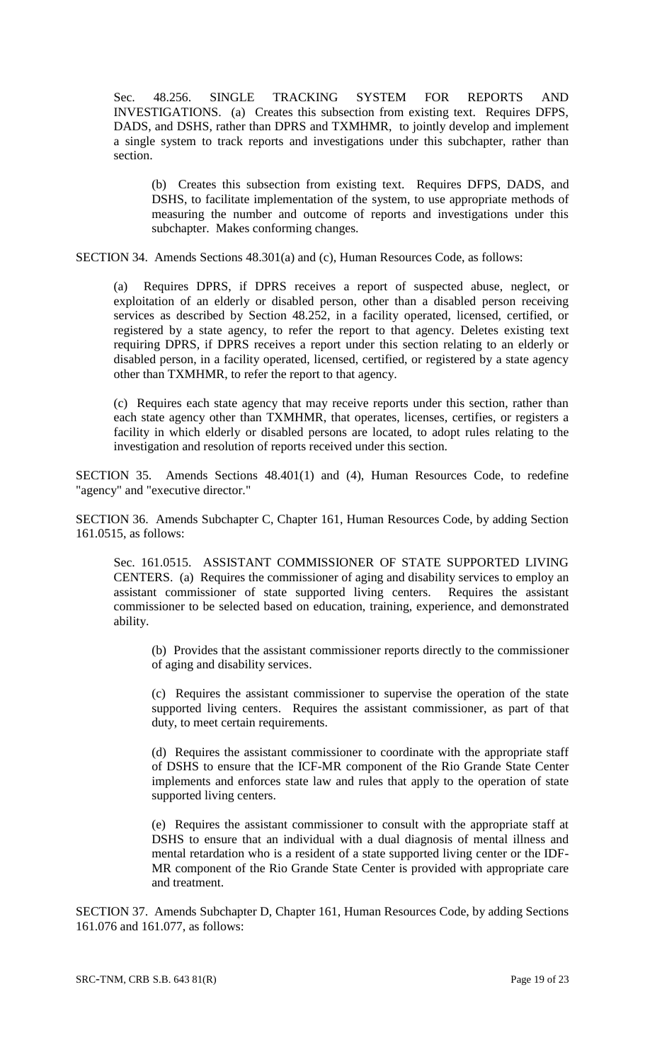Sec. 48.256. SINGLE TRACKING SYSTEM FOR REPORTS AND INVESTIGATIONS. (a) Creates this subsection from existing text. Requires DFPS, DADS, and DSHS, rather than DPRS and TXMHMR, to jointly develop and implement a single system to track reports and investigations under this subchapter, rather than section.

(b) Creates this subsection from existing text. Requires DFPS, DADS, and DSHS, to facilitate implementation of the system, to use appropriate methods of measuring the number and outcome of reports and investigations under this subchapter. Makes conforming changes.

SECTION 34. Amends Sections 48.301(a) and (c), Human Resources Code, as follows:

(a) Requires DPRS, if DPRS receives a report of suspected abuse, neglect, or exploitation of an elderly or disabled person, other than a disabled person receiving services as described by Section 48.252, in a facility operated, licensed, certified, or registered by a state agency, to refer the report to that agency. Deletes existing text requiring DPRS, if DPRS receives a report under this section relating to an elderly or disabled person, in a facility operated, licensed, certified, or registered by a state agency other than TXMHMR, to refer the report to that agency.

(c) Requires each state agency that may receive reports under this section, rather than each state agency other than TXMHMR, that operates, licenses, certifies, or registers a facility in which elderly or disabled persons are located, to adopt rules relating to the investigation and resolution of reports received under this section.

SECTION 35. Amends Sections 48.401(1) and (4), Human Resources Code, to redefine "agency" and "executive director."

SECTION 36. Amends Subchapter C, Chapter 161, Human Resources Code, by adding Section 161.0515, as follows:

Sec. 161.0515. ASSISTANT COMMISSIONER OF STATE SUPPORTED LIVING CENTERS. (a) Requires the commissioner of aging and disability services to employ an assistant commissioner of state supported living centers. Requires the assistant commissioner to be selected based on education, training, experience, and demonstrated ability.

(b) Provides that the assistant commissioner reports directly to the commissioner of aging and disability services.

(c) Requires the assistant commissioner to supervise the operation of the state supported living centers. Requires the assistant commissioner, as part of that duty, to meet certain requirements.

(d) Requires the assistant commissioner to coordinate with the appropriate staff of DSHS to ensure that the ICF-MR component of the Rio Grande State Center implements and enforces state law and rules that apply to the operation of state supported living centers.

(e) Requires the assistant commissioner to consult with the appropriate staff at DSHS to ensure that an individual with a dual diagnosis of mental illness and mental retardation who is a resident of a state supported living center or the IDF-MR component of the Rio Grande State Center is provided with appropriate care and treatment.

SECTION 37. Amends Subchapter D, Chapter 161, Human Resources Code, by adding Sections 161.076 and 161.077, as follows: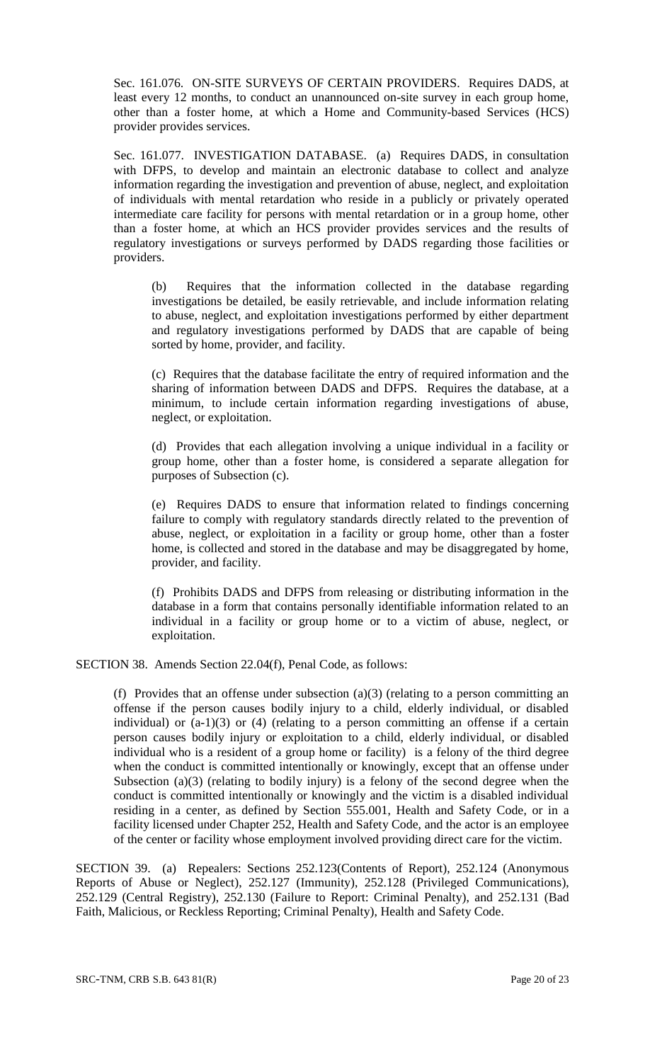Sec. 161.076. ON-SITE SURVEYS OF CERTAIN PROVIDERS. Requires DADS, at least every 12 months, to conduct an unannounced on-site survey in each group home, other than a foster home, at which a Home and Community-based Services (HCS) provider provides services.

Sec. 161.077. INVESTIGATION DATABASE. (a) Requires DADS, in consultation with DFPS, to develop and maintain an electronic database to collect and analyze information regarding the investigation and prevention of abuse, neglect, and exploitation of individuals with mental retardation who reside in a publicly or privately operated intermediate care facility for persons with mental retardation or in a group home, other than a foster home, at which an HCS provider provides services and the results of regulatory investigations or surveys performed by DADS regarding those facilities or providers.

(b) Requires that the information collected in the database regarding investigations be detailed, be easily retrievable, and include information relating to abuse, neglect, and exploitation investigations performed by either department and regulatory investigations performed by DADS that are capable of being sorted by home, provider, and facility.

(c) Requires that the database facilitate the entry of required information and the sharing of information between DADS and DFPS. Requires the database, at a minimum, to include certain information regarding investigations of abuse, neglect, or exploitation.

(d) Provides that each allegation involving a unique individual in a facility or group home, other than a foster home, is considered a separate allegation for purposes of Subsection (c).

(e) Requires DADS to ensure that information related to findings concerning failure to comply with regulatory standards directly related to the prevention of abuse, neglect, or exploitation in a facility or group home, other than a foster home, is collected and stored in the database and may be disaggregated by home, provider, and facility.

(f) Prohibits DADS and DFPS from releasing or distributing information in the database in a form that contains personally identifiable information related to an individual in a facility or group home or to a victim of abuse, neglect, or exploitation.

SECTION 38. Amends Section 22.04(f), Penal Code, as follows:

(f) Provides that an offense under subsection (a)(3) (relating to a person committing an offense if the person causes bodily injury to a child, elderly individual, or disabled individual) or  $(a-1)(3)$  or  $(4)$  (relating to a person committing an offense if a certain person causes bodily injury or exploitation to a child, elderly individual, or disabled individual who is a resident of a group home or facility) is a felony of the third degree when the conduct is committed intentionally or knowingly, except that an offense under Subsection (a)(3) (relating to bodily injury) is a felony of the second degree when the conduct is committed intentionally or knowingly and the victim is a disabled individual residing in a center, as defined by Section 555.001, Health and Safety Code, or in a facility licensed under Chapter 252, Health and Safety Code, and the actor is an employee of the center or facility whose employment involved providing direct care for the victim.

SECTION 39. (a) Repealers: Sections 252.123(Contents of Report), 252.124 (Anonymous Reports of Abuse or Neglect), 252.127 (Immunity), 252.128 (Privileged Communications), 252.129 (Central Registry), 252.130 (Failure to Report: Criminal Penalty), and 252.131 (Bad Faith, Malicious, or Reckless Reporting; Criminal Penalty), Health and Safety Code.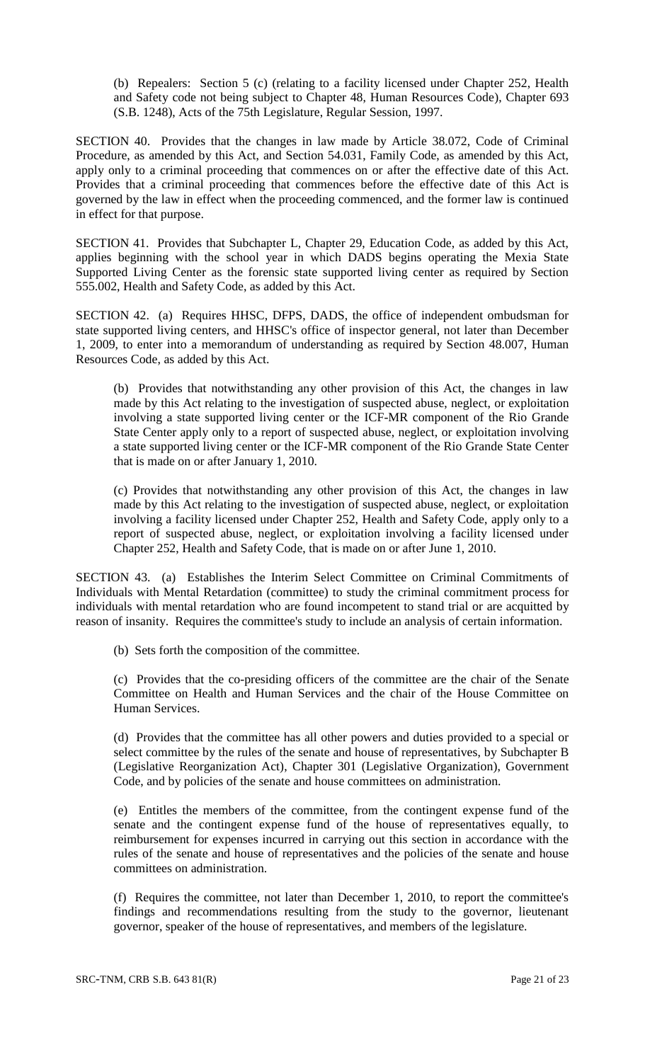(b) Repealers: Section 5 (c) (relating to a facility licensed under Chapter 252, Health and Safety code not being subject to Chapter 48, Human Resources Code), Chapter 693 (S.B. 1248), Acts of the 75th Legislature, Regular Session, 1997.

SECTION 40. Provides that the changes in law made by Article 38.072, Code of Criminal Procedure, as amended by this Act, and Section 54.031, Family Code, as amended by this Act, apply only to a criminal proceeding that commences on or after the effective date of this Act. Provides that a criminal proceeding that commences before the effective date of this Act is governed by the law in effect when the proceeding commenced, and the former law is continued in effect for that purpose.

SECTION 41. Provides that Subchapter L, Chapter 29, Education Code, as added by this Act, applies beginning with the school year in which DADS begins operating the Mexia State Supported Living Center as the forensic state supported living center as required by Section 555.002, Health and Safety Code, as added by this Act.

SECTION 42. (a) Requires HHSC, DFPS, DADS, the office of independent ombudsman for state supported living centers, and HHSC's office of inspector general, not later than December 1, 2009, to enter into a memorandum of understanding as required by Section 48.007, Human Resources Code, as added by this Act.

(b) Provides that notwithstanding any other provision of this Act, the changes in law made by this Act relating to the investigation of suspected abuse, neglect, or exploitation involving a state supported living center or the ICF-MR component of the Rio Grande State Center apply only to a report of suspected abuse, neglect, or exploitation involving a state supported living center or the ICF-MR component of the Rio Grande State Center that is made on or after January 1, 2010.

(c) Provides that notwithstanding any other provision of this Act, the changes in law made by this Act relating to the investigation of suspected abuse, neglect, or exploitation involving a facility licensed under Chapter 252, Health and Safety Code, apply only to a report of suspected abuse, neglect, or exploitation involving a facility licensed under Chapter 252, Health and Safety Code, that is made on or after June 1, 2010.

SECTION 43. (a) Establishes the Interim Select Committee on Criminal Commitments of Individuals with Mental Retardation (committee) to study the criminal commitment process for individuals with mental retardation who are found incompetent to stand trial or are acquitted by reason of insanity. Requires the committee's study to include an analysis of certain information.

(b) Sets forth the composition of the committee.

(c) Provides that the co-presiding officers of the committee are the chair of the Senate Committee on Health and Human Services and the chair of the House Committee on Human Services.

(d) Provides that the committee has all other powers and duties provided to a special or select committee by the rules of the senate and house of representatives, by Subchapter B (Legislative Reorganization Act), Chapter 301 (Legislative Organization), Government Code, and by policies of the senate and house committees on administration.

(e) Entitles the members of the committee, from the contingent expense fund of the senate and the contingent expense fund of the house of representatives equally, to reimbursement for expenses incurred in carrying out this section in accordance with the rules of the senate and house of representatives and the policies of the senate and house committees on administration.

(f) Requires the committee, not later than December 1, 2010, to report the committee's findings and recommendations resulting from the study to the governor, lieutenant governor, speaker of the house of representatives, and members of the legislature.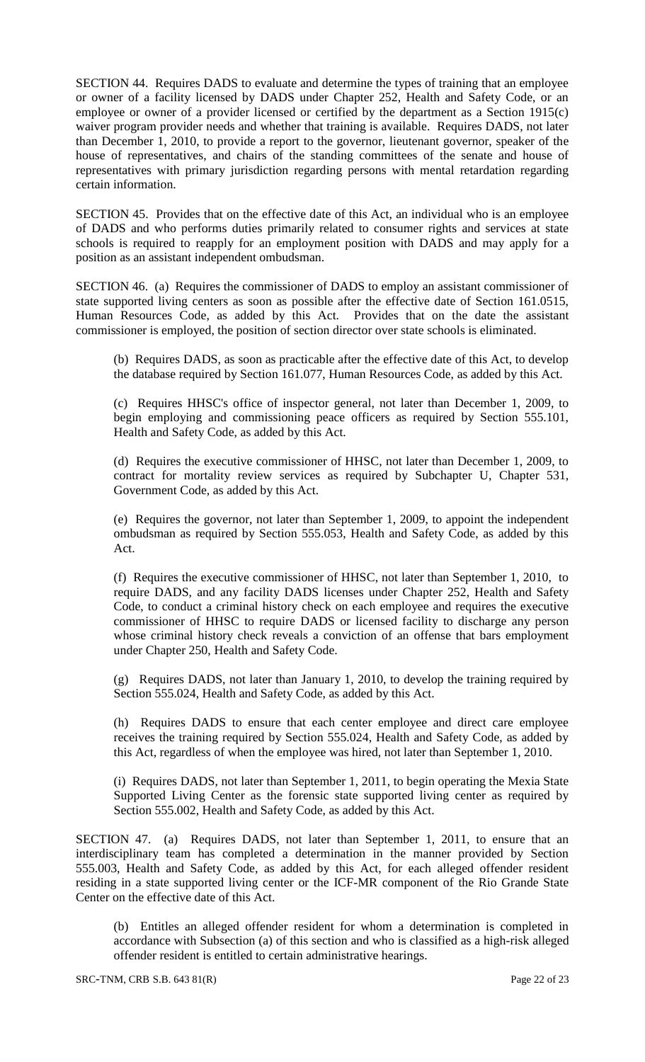SECTION 44. Requires DADS to evaluate and determine the types of training that an employee or owner of a facility licensed by DADS under Chapter 252, Health and Safety Code, or an employee or owner of a provider licensed or certified by the department as a Section 1915(c) waiver program provider needs and whether that training is available. Requires DADS, not later than December 1, 2010, to provide a report to the governor, lieutenant governor, speaker of the house of representatives, and chairs of the standing committees of the senate and house of representatives with primary jurisdiction regarding persons with mental retardation regarding certain information.

SECTION 45. Provides that on the effective date of this Act, an individual who is an employee of DADS and who performs duties primarily related to consumer rights and services at state schools is required to reapply for an employment position with DADS and may apply for a position as an assistant independent ombudsman.

SECTION 46. (a) Requires the commissioner of DADS to employ an assistant commissioner of state supported living centers as soon as possible after the effective date of Section 161.0515, Human Resources Code, as added by this Act. Provides that on the date the assistant commissioner is employed, the position of section director over state schools is eliminated.

(b) Requires DADS, as soon as practicable after the effective date of this Act, to develop the database required by Section 161.077, Human Resources Code, as added by this Act.

(c) Requires HHSC's office of inspector general, not later than December 1, 2009, to begin employing and commissioning peace officers as required by Section 555.101, Health and Safety Code, as added by this Act.

(d) Requires the executive commissioner of HHSC, not later than December 1, 2009, to contract for mortality review services as required by Subchapter U, Chapter 531, Government Code, as added by this Act.

(e) Requires the governor, not later than September 1, 2009, to appoint the independent ombudsman as required by Section 555.053, Health and Safety Code, as added by this Act.

(f) Requires the executive commissioner of HHSC, not later than September 1, 2010, to require DADS, and any facility DADS licenses under Chapter 252, Health and Safety Code, to conduct a criminal history check on each employee and requires the executive commissioner of HHSC to require DADS or licensed facility to discharge any person whose criminal history check reveals a conviction of an offense that bars employment under Chapter 250, Health and Safety Code.

(g) Requires DADS, not later than January 1, 2010, to develop the training required by Section 555.024, Health and Safety Code, as added by this Act.

(h) Requires DADS to ensure that each center employee and direct care employee receives the training required by Section 555.024, Health and Safety Code, as added by this Act, regardless of when the employee was hired, not later than September 1, 2010.

(i) Requires DADS, not later than September 1, 2011, to begin operating the Mexia State Supported Living Center as the forensic state supported living center as required by Section 555.002, Health and Safety Code, as added by this Act.

SECTION 47. (a) Requires DADS, not later than September 1, 2011, to ensure that an interdisciplinary team has completed a determination in the manner provided by Section 555.003, Health and Safety Code, as added by this Act, for each alleged offender resident residing in a state supported living center or the ICF-MR component of the Rio Grande State Center on the effective date of this Act.

(b) Entitles an alleged offender resident for whom a determination is completed in accordance with Subsection (a) of this section and who is classified as a high-risk alleged offender resident is entitled to certain administrative hearings.